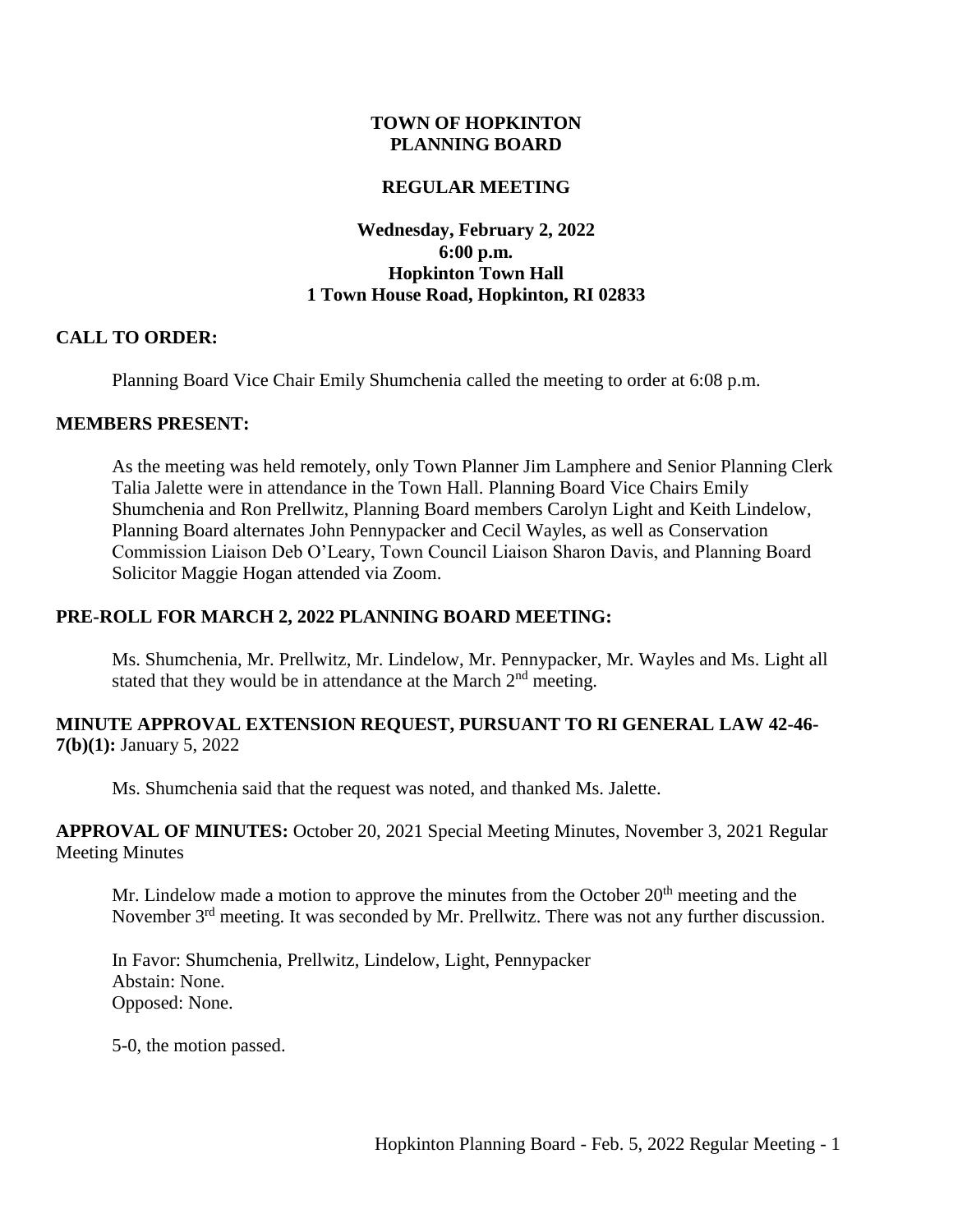#### **TOWN OF HOPKINTON PLANNING BOARD**

#### **REGULAR MEETING**

## **Wednesday, February 2, 2022 6:00 p.m. Hopkinton Town Hall 1 Town House Road, Hopkinton, RI 02833**

#### **CALL TO ORDER:**

Planning Board Vice Chair Emily Shumchenia called the meeting to order at 6:08 p.m.

#### **MEMBERS PRESENT:**

As the meeting was held remotely, only Town Planner Jim Lamphere and Senior Planning Clerk Talia Jalette were in attendance in the Town Hall. Planning Board Vice Chairs Emily Shumchenia and Ron Prellwitz, Planning Board members Carolyn Light and Keith Lindelow, Planning Board alternates John Pennypacker and Cecil Wayles, as well as Conservation Commission Liaison Deb O'Leary, Town Council Liaison Sharon Davis, and Planning Board Solicitor Maggie Hogan attended via Zoom.

### **PRE-ROLL FOR MARCH 2, 2022 PLANNING BOARD MEETING:**

Ms. Shumchenia, Mr. Prellwitz, Mr. Lindelow, Mr. Pennypacker, Mr. Wayles and Ms. Light all stated that they would be in attendance at the March  $2<sup>nd</sup>$  meeting.

#### **MINUTE APPROVAL EXTENSION REQUEST, PURSUANT TO RI GENERAL LAW 42-46- 7(b)(1):** January 5, 2022

Ms. Shumchenia said that the request was noted, and thanked Ms. Jalette.

**APPROVAL OF MINUTES:** October 20, 2021 Special Meeting Minutes, November 3, 2021 Regular Meeting Minutes

Mr. Lindelow made a motion to approve the minutes from the October  $20<sup>th</sup>$  meeting and the November 3<sup>rd</sup> meeting. It was seconded by Mr. Prellwitz. There was not any further discussion.

In Favor: Shumchenia, Prellwitz, Lindelow, Light, Pennypacker Abstain: None. Opposed: None.

5-0, the motion passed.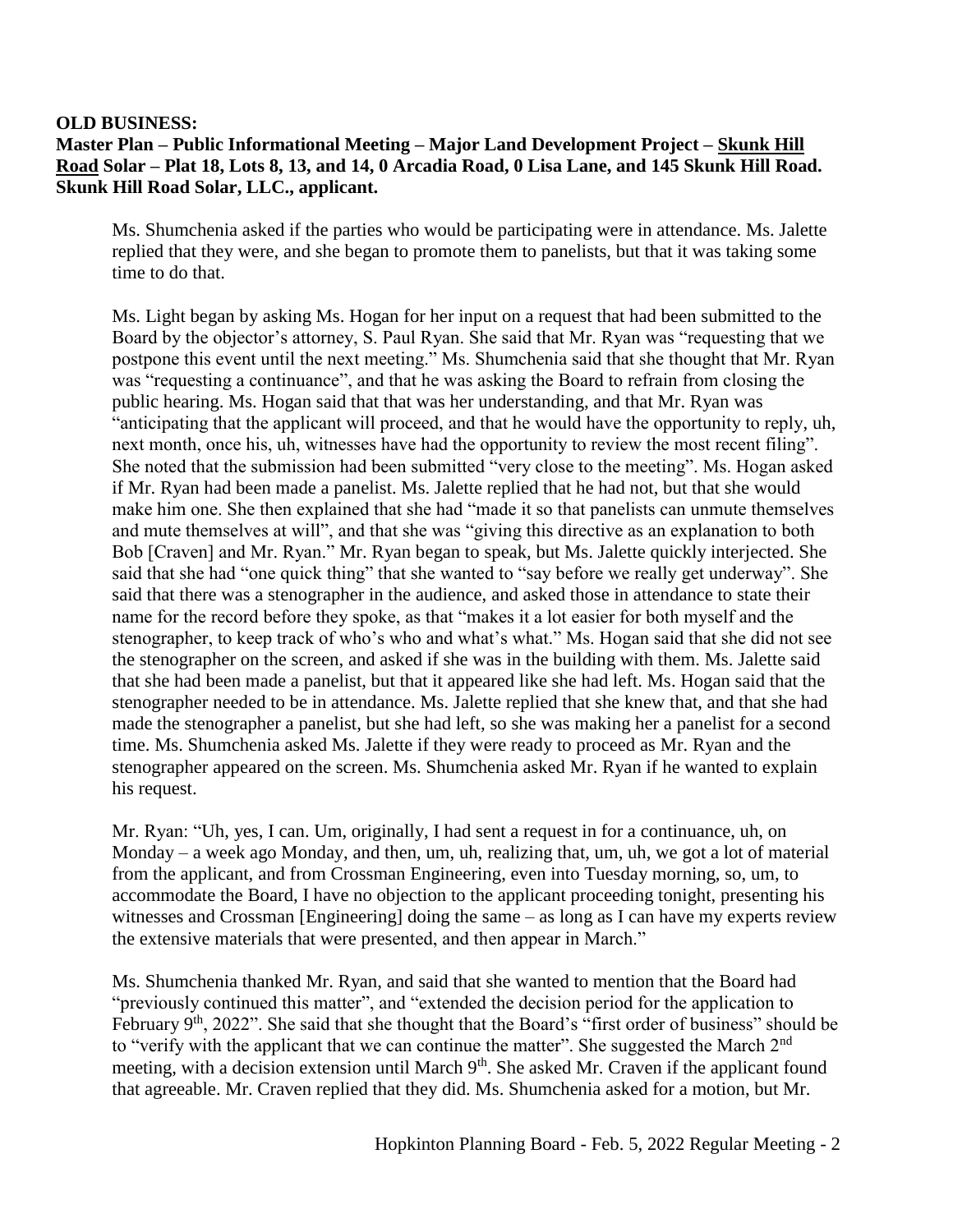#### **OLD BUSINESS:**

# **Master Plan – Public Informational Meeting – Major Land Development Project – Skunk Hill Road Solar – Plat 18, Lots 8, 13, and 14, 0 Arcadia Road, 0 Lisa Lane, and 145 Skunk Hill Road. Skunk Hill Road Solar, LLC., applicant.**

Ms. Shumchenia asked if the parties who would be participating were in attendance. Ms. Jalette replied that they were, and she began to promote them to panelists, but that it was taking some time to do that.

Ms. Light began by asking Ms. Hogan for her input on a request that had been submitted to the Board by the objector's attorney, S. Paul Ryan. She said that Mr. Ryan was "requesting that we postpone this event until the next meeting." Ms. Shumchenia said that she thought that Mr. Ryan was "requesting a continuance", and that he was asking the Board to refrain from closing the public hearing. Ms. Hogan said that that was her understanding, and that Mr. Ryan was "anticipating that the applicant will proceed, and that he would have the opportunity to reply, uh, next month, once his, uh, witnesses have had the opportunity to review the most recent filing". She noted that the submission had been submitted "very close to the meeting". Ms. Hogan asked if Mr. Ryan had been made a panelist. Ms. Jalette replied that he had not, but that she would make him one. She then explained that she had "made it so that panelists can unmute themselves and mute themselves at will", and that she was "giving this directive as an explanation to both Bob [Craven] and Mr. Ryan." Mr. Ryan began to speak, but Ms. Jalette quickly interjected. She said that she had "one quick thing" that she wanted to "say before we really get underway". She said that there was a stenographer in the audience, and asked those in attendance to state their name for the record before they spoke, as that "makes it a lot easier for both myself and the stenographer, to keep track of who's who and what's what." Ms. Hogan said that she did not see the stenographer on the screen, and asked if she was in the building with them. Ms. Jalette said that she had been made a panelist, but that it appeared like she had left. Ms. Hogan said that the stenographer needed to be in attendance. Ms. Jalette replied that she knew that, and that she had made the stenographer a panelist, but she had left, so she was making her a panelist for a second time. Ms. Shumchenia asked Ms. Jalette if they were ready to proceed as Mr. Ryan and the stenographer appeared on the screen. Ms. Shumchenia asked Mr. Ryan if he wanted to explain his request.

Mr. Ryan: "Uh, yes, I can. Um, originally, I had sent a request in for a continuance, uh, on Monday – a week ago Monday, and then, um, uh, realizing that, um, uh, we got a lot of material from the applicant, and from Crossman Engineering, even into Tuesday morning, so, um, to accommodate the Board, I have no objection to the applicant proceeding tonight, presenting his witnesses and Crossman [Engineering] doing the same – as long as I can have my experts review the extensive materials that were presented, and then appear in March."

Ms. Shumchenia thanked Mr. Ryan, and said that she wanted to mention that the Board had "previously continued this matter", and "extended the decision period for the application to February 9<sup>th</sup>, 2022". She said that she thought that the Board's "first order of business" should be to "verify with the applicant that we can continue the matter". She suggested the March 2<sup>nd</sup> meeting, with a decision extension until March 9<sup>th</sup>. She asked Mr. Craven if the applicant found that agreeable. Mr. Craven replied that they did. Ms. Shumchenia asked for a motion, but Mr.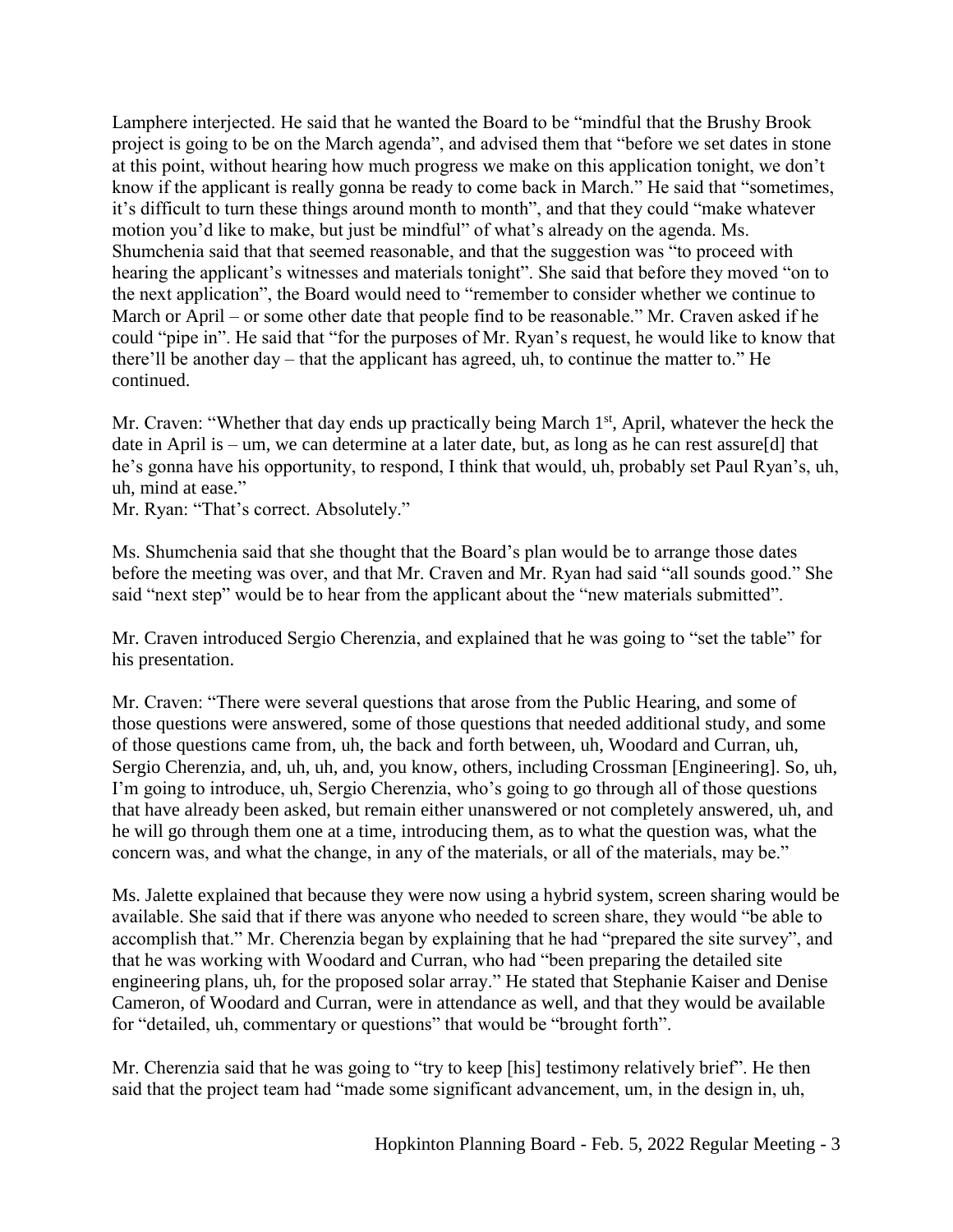Lamphere interjected. He said that he wanted the Board to be "mindful that the Brushy Brook project is going to be on the March agenda", and advised them that "before we set dates in stone at this point, without hearing how much progress we make on this application tonight, we don't know if the applicant is really gonna be ready to come back in March." He said that "sometimes, it's difficult to turn these things around month to month", and that they could "make whatever motion you'd like to make, but just be mindful" of what's already on the agenda. Ms. Shumchenia said that that seemed reasonable, and that the suggestion was "to proceed with hearing the applicant's witnesses and materials tonight". She said that before they moved "on to the next application", the Board would need to "remember to consider whether we continue to March or April – or some other date that people find to be reasonable." Mr. Craven asked if he could "pipe in". He said that "for the purposes of Mr. Ryan's request, he would like to know that there'll be another day – that the applicant has agreed, uh, to continue the matter to." He continued.

Mr. Craven: "Whether that day ends up practically being March 1<sup>st</sup>, April, whatever the heck the date in April is – um, we can determine at a later date, but, as long as he can rest assure[d] that he's gonna have his opportunity, to respond, I think that would, uh, probably set Paul Ryan's, uh, uh, mind at ease."

Mr. Ryan: "That's correct. Absolutely."

Ms. Shumchenia said that she thought that the Board's plan would be to arrange those dates before the meeting was over, and that Mr. Craven and Mr. Ryan had said "all sounds good." She said "next step" would be to hear from the applicant about the "new materials submitted".

Mr. Craven introduced Sergio Cherenzia, and explained that he was going to "set the table" for his presentation.

Mr. Craven: "There were several questions that arose from the Public Hearing, and some of those questions were answered, some of those questions that needed additional study, and some of those questions came from, uh, the back and forth between, uh, Woodard and Curran, uh, Sergio Cherenzia, and, uh, uh, and, you know, others, including Crossman [Engineering]. So, uh, I'm going to introduce, uh, Sergio Cherenzia, who's going to go through all of those questions that have already been asked, but remain either unanswered or not completely answered, uh, and he will go through them one at a time, introducing them, as to what the question was, what the concern was, and what the change, in any of the materials, or all of the materials, may be."

Ms. Jalette explained that because they were now using a hybrid system, screen sharing would be available. She said that if there was anyone who needed to screen share, they would "be able to accomplish that." Mr. Cherenzia began by explaining that he had "prepared the site survey", and that he was working with Woodard and Curran, who had "been preparing the detailed site engineering plans, uh, for the proposed solar array." He stated that Stephanie Kaiser and Denise Cameron, of Woodard and Curran, were in attendance as well, and that they would be available for "detailed, uh, commentary or questions" that would be "brought forth".

Mr. Cherenzia said that he was going to "try to keep [his] testimony relatively brief". He then said that the project team had "made some significant advancement, um, in the design in, uh,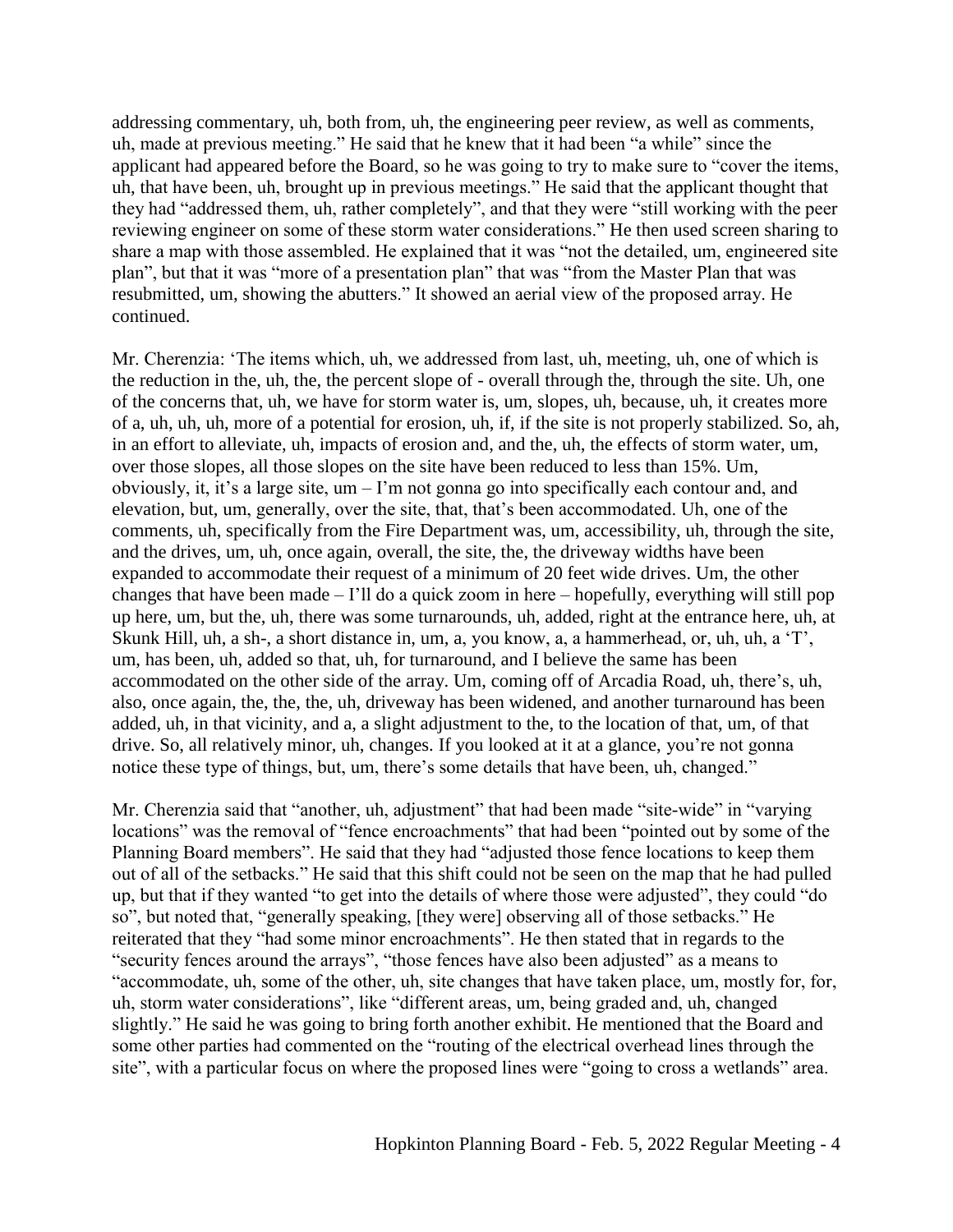addressing commentary, uh, both from, uh, the engineering peer review, as well as comments, uh, made at previous meeting." He said that he knew that it had been "a while" since the applicant had appeared before the Board, so he was going to try to make sure to "cover the items, uh, that have been, uh, brought up in previous meetings." He said that the applicant thought that they had "addressed them, uh, rather completely", and that they were "still working with the peer reviewing engineer on some of these storm water considerations." He then used screen sharing to share a map with those assembled. He explained that it was "not the detailed, um, engineered site plan", but that it was "more of a presentation plan" that was "from the Master Plan that was resubmitted, um, showing the abutters." It showed an aerial view of the proposed array. He continued.

Mr. Cherenzia: 'The items which, uh, we addressed from last, uh, meeting, uh, one of which is the reduction in the, uh, the, the percent slope of - overall through the, through the site. Uh, one of the concerns that, uh, we have for storm water is, um, slopes, uh, because, uh, it creates more of a, uh, uh, uh, more of a potential for erosion, uh, if, if the site is not properly stabilized. So, ah, in an effort to alleviate, uh, impacts of erosion and, and the, uh, the effects of storm water, um, over those slopes, all those slopes on the site have been reduced to less than 15%. Um, obviously, it, it's a large site, um – I'm not gonna go into specifically each contour and, and elevation, but, um, generally, over the site, that, that's been accommodated. Uh, one of the comments, uh, specifically from the Fire Department was, um, accessibility, uh, through the site, and the drives, um, uh, once again, overall, the site, the, the driveway widths have been expanded to accommodate their request of a minimum of 20 feet wide drives. Um, the other changes that have been made – I'll do a quick zoom in here – hopefully, everything will still pop up here, um, but the, uh, there was some turnarounds, uh, added, right at the entrance here, uh, at Skunk Hill, uh, a sh-, a short distance in, um, a, you know, a, a hammerhead, or, uh, uh, a 'T', um, has been, uh, added so that, uh, for turnaround, and I believe the same has been accommodated on the other side of the array. Um, coming off of Arcadia Road, uh, there's, uh, also, once again, the, the, the, uh, driveway has been widened, and another turnaround has been added, uh, in that vicinity, and a, a slight adjustment to the, to the location of that, um, of that drive. So, all relatively minor, uh, changes. If you looked at it at a glance, you're not gonna notice these type of things, but, um, there's some details that have been, uh, changed."

Mr. Cherenzia said that "another, uh, adjustment" that had been made "site-wide" in "varying locations" was the removal of "fence encroachments" that had been "pointed out by some of the Planning Board members". He said that they had "adjusted those fence locations to keep them out of all of the setbacks." He said that this shift could not be seen on the map that he had pulled up, but that if they wanted "to get into the details of where those were adjusted", they could "do so", but noted that, "generally speaking, [they were] observing all of those setbacks." He reiterated that they "had some minor encroachments". He then stated that in regards to the "security fences around the arrays", "those fences have also been adjusted" as a means to "accommodate, uh, some of the other, uh, site changes that have taken place, um, mostly for, for, uh, storm water considerations", like "different areas, um, being graded and, uh, changed slightly." He said he was going to bring forth another exhibit. He mentioned that the Board and some other parties had commented on the "routing of the electrical overhead lines through the site", with a particular focus on where the proposed lines were "going to cross a wetlands" area.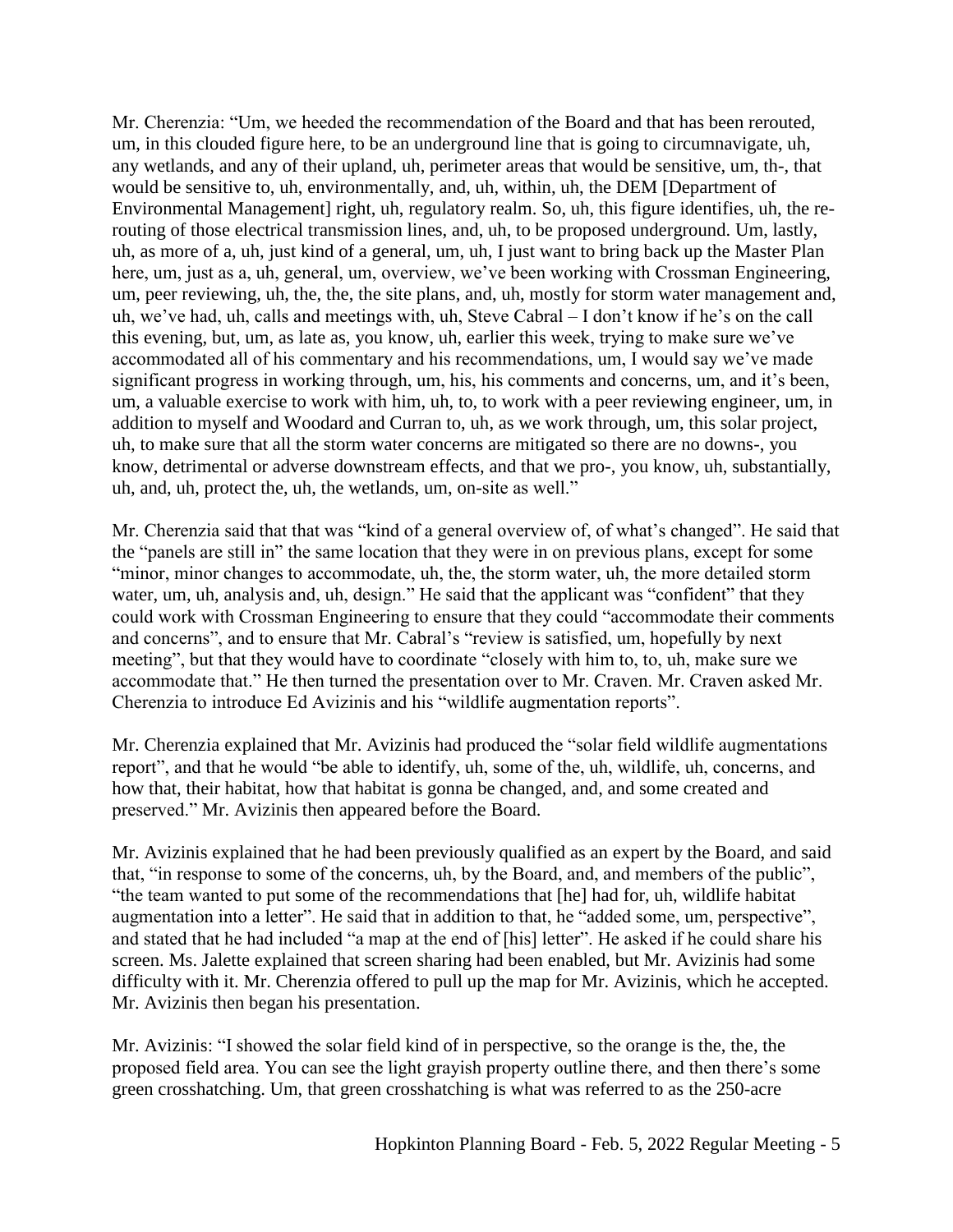Mr. Cherenzia: "Um, we heeded the recommendation of the Board and that has been rerouted, um, in this clouded figure here, to be an underground line that is going to circumnavigate, uh, any wetlands, and any of their upland, uh, perimeter areas that would be sensitive, um, th-, that would be sensitive to, uh, environmentally, and, uh, within, uh, the DEM [Department of Environmental Management] right, uh, regulatory realm. So, uh, this figure identifies, uh, the rerouting of those electrical transmission lines, and, uh, to be proposed underground. Um, lastly, uh, as more of a, uh, just kind of a general, um, uh, I just want to bring back up the Master Plan here, um, just as a, uh, general, um, overview, we've been working with Crossman Engineering, um, peer reviewing, uh, the, the, the site plans, and, uh, mostly for storm water management and, uh, we've had, uh, calls and meetings with, uh, Steve Cabral – I don't know if he's on the call this evening, but, um, as late as, you know, uh, earlier this week, trying to make sure we've accommodated all of his commentary and his recommendations, um, I would say we've made significant progress in working through, um, his, his comments and concerns, um, and it's been, um, a valuable exercise to work with him, uh, to, to work with a peer reviewing engineer, um, in addition to myself and Woodard and Curran to, uh, as we work through, um, this solar project, uh, to make sure that all the storm water concerns are mitigated so there are no downs-, you know, detrimental or adverse downstream effects, and that we pro-, you know, uh, substantially, uh, and, uh, protect the, uh, the wetlands, um, on-site as well."

Mr. Cherenzia said that that was "kind of a general overview of, of what's changed". He said that the "panels are still in" the same location that they were in on previous plans, except for some "minor, minor changes to accommodate, uh, the, the storm water, uh, the more detailed storm water, um, uh, analysis and, uh, design." He said that the applicant was "confident" that they could work with Crossman Engineering to ensure that they could "accommodate their comments and concerns", and to ensure that Mr. Cabral's "review is satisfied, um, hopefully by next meeting", but that they would have to coordinate "closely with him to, to, uh, make sure we accommodate that." He then turned the presentation over to Mr. Craven. Mr. Craven asked Mr. Cherenzia to introduce Ed Avizinis and his "wildlife augmentation reports".

Mr. Cherenzia explained that Mr. Avizinis had produced the "solar field wildlife augmentations report", and that he would "be able to identify, uh, some of the, uh, wildlife, uh, concerns, and how that, their habitat, how that habitat is gonna be changed, and, and some created and preserved." Mr. Avizinis then appeared before the Board.

Mr. Avizinis explained that he had been previously qualified as an expert by the Board, and said that, "in response to some of the concerns, uh, by the Board, and, and members of the public", "the team wanted to put some of the recommendations that [he] had for, uh, wildlife habitat augmentation into a letter". He said that in addition to that, he "added some, um, perspective", and stated that he had included "a map at the end of [his] letter". He asked if he could share his screen. Ms. Jalette explained that screen sharing had been enabled, but Mr. Avizinis had some difficulty with it. Mr. Cherenzia offered to pull up the map for Mr. Avizinis, which he accepted. Mr. Avizinis then began his presentation.

Mr. Avizinis: "I showed the solar field kind of in perspective, so the orange is the, the, the proposed field area. You can see the light grayish property outline there, and then there's some green crosshatching. Um, that green crosshatching is what was referred to as the 250-acre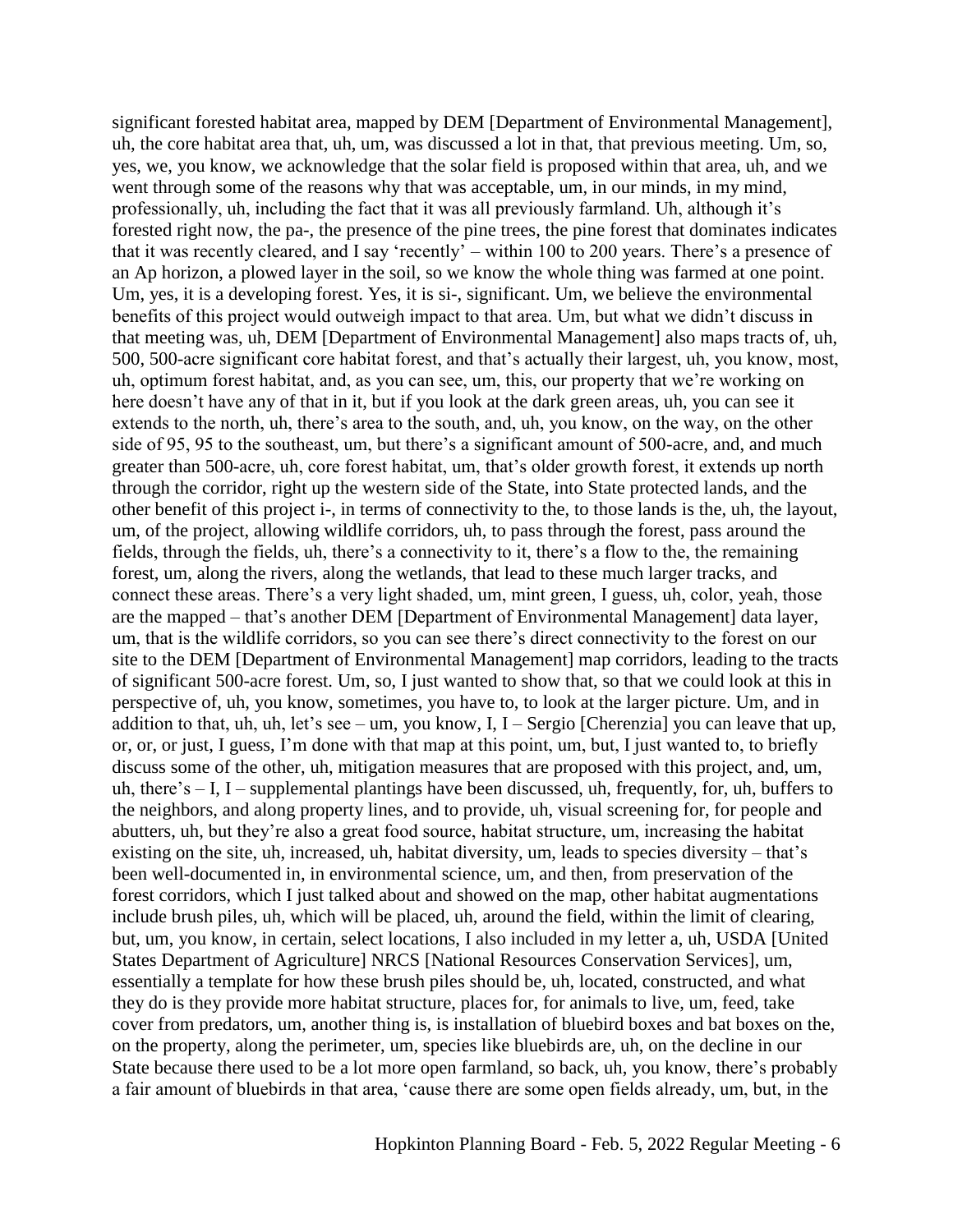significant forested habitat area, mapped by DEM [Department of Environmental Management], uh, the core habitat area that, uh, um, was discussed a lot in that, that previous meeting. Um, so, yes, we, you know, we acknowledge that the solar field is proposed within that area, uh, and we went through some of the reasons why that was acceptable, um, in our minds, in my mind, professionally, uh, including the fact that it was all previously farmland. Uh, although it's forested right now, the pa-, the presence of the pine trees, the pine forest that dominates indicates that it was recently cleared, and I say 'recently' – within 100 to 200 years. There's a presence of an Ap horizon, a plowed layer in the soil, so we know the whole thing was farmed at one point. Um, yes, it is a developing forest. Yes, it is si-, significant. Um, we believe the environmental benefits of this project would outweigh impact to that area. Um, but what we didn't discuss in that meeting was, uh, DEM [Department of Environmental Management] also maps tracts of, uh, 500, 500-acre significant core habitat forest, and that's actually their largest, uh, you know, most, uh, optimum forest habitat, and, as you can see, um, this, our property that we're working on here doesn't have any of that in it, but if you look at the dark green areas, uh, you can see it extends to the north, uh, there's area to the south, and, uh, you know, on the way, on the other side of 95, 95 to the southeast, um, but there's a significant amount of 500-acre, and, and much greater than 500-acre, uh, core forest habitat, um, that's older growth forest, it extends up north through the corridor, right up the western side of the State, into State protected lands, and the other benefit of this project i-, in terms of connectivity to the, to those lands is the, uh, the layout, um, of the project, allowing wildlife corridors, uh, to pass through the forest, pass around the fields, through the fields, uh, there's a connectivity to it, there's a flow to the, the remaining forest, um, along the rivers, along the wetlands, that lead to these much larger tracks, and connect these areas. There's a very light shaded, um, mint green, I guess, uh, color, yeah, those are the mapped – that's another DEM [Department of Environmental Management] data layer, um, that is the wildlife corridors, so you can see there's direct connectivity to the forest on our site to the DEM [Department of Environmental Management] map corridors, leading to the tracts of significant 500-acre forest. Um, so, I just wanted to show that, so that we could look at this in perspective of, uh, you know, sometimes, you have to, to look at the larger picture. Um, and in addition to that, uh, uh, let's see – um, you know, I, I – Sergio [Cherenzia] you can leave that up, or, or, or just, I guess, I'm done with that map at this point, um, but, I just wanted to, to briefly discuss some of the other, uh, mitigation measures that are proposed with this project, and, um, uh, there's  $- I$ , I – supplemental plantings have been discussed, uh, frequently, for, uh, buffers to the neighbors, and along property lines, and to provide, uh, visual screening for, for people and abutters, uh, but they're also a great food source, habitat structure, um, increasing the habitat existing on the site, uh, increased, uh, habitat diversity, um, leads to species diversity – that's been well-documented in, in environmental science, um, and then, from preservation of the forest corridors, which I just talked about and showed on the map, other habitat augmentations include brush piles, uh, which will be placed, uh, around the field, within the limit of clearing, but, um, you know, in certain, select locations, I also included in my letter a, uh, USDA [United States Department of Agriculture] NRCS [National Resources Conservation Services], um, essentially a template for how these brush piles should be, uh, located, constructed, and what they do is they provide more habitat structure, places for, for animals to live, um, feed, take cover from predators, um, another thing is, is installation of bluebird boxes and bat boxes on the, on the property, along the perimeter, um, species like bluebirds are, uh, on the decline in our State because there used to be a lot more open farmland, so back, uh, you know, there's probably a fair amount of bluebirds in that area, 'cause there are some open fields already, um, but, in the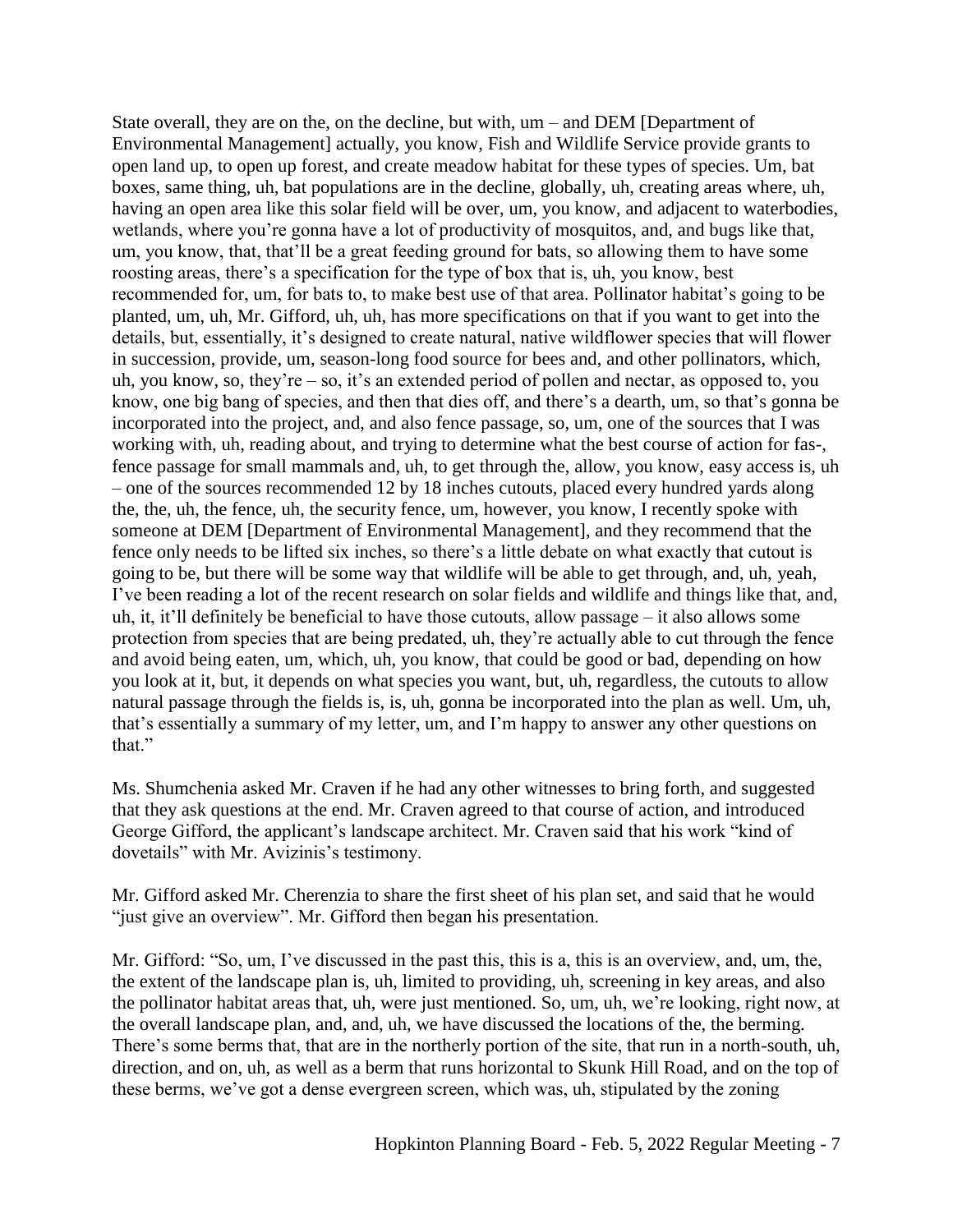State overall, they are on the, on the decline, but with, um – and DEM [Department of Environmental Management] actually, you know, Fish and Wildlife Service provide grants to open land up, to open up forest, and create meadow habitat for these types of species. Um, bat boxes, same thing, uh, bat populations are in the decline, globally, uh, creating areas where, uh, having an open area like this solar field will be over, um, you know, and adjacent to waterbodies, wetlands, where you're gonna have a lot of productivity of mosquitos, and, and bugs like that, um, you know, that, that'll be a great feeding ground for bats, so allowing them to have some roosting areas, there's a specification for the type of box that is, uh, you know, best recommended for, um, for bats to, to make best use of that area. Pollinator habitat's going to be planted, um, uh, Mr. Gifford, uh, uh, has more specifications on that if you want to get into the details, but, essentially, it's designed to create natural, native wildflower species that will flower in succession, provide, um, season-long food source for bees and, and other pollinators, which, uh, you know, so, they're – so, it's an extended period of pollen and nectar, as opposed to, you know, one big bang of species, and then that dies off, and there's a dearth, um, so that's gonna be incorporated into the project, and, and also fence passage, so, um, one of the sources that I was working with, uh, reading about, and trying to determine what the best course of action for fas-, fence passage for small mammals and, uh, to get through the, allow, you know, easy access is, uh – one of the sources recommended 12 by 18 inches cutouts, placed every hundred yards along the, the, uh, the fence, uh, the security fence, um, however, you know, I recently spoke with someone at DEM [Department of Environmental Management], and they recommend that the fence only needs to be lifted six inches, so there's a little debate on what exactly that cutout is going to be, but there will be some way that wildlife will be able to get through, and, uh, yeah, I've been reading a lot of the recent research on solar fields and wildlife and things like that, and, uh, it, it'll definitely be beneficial to have those cutouts, allow passage – it also allows some protection from species that are being predated, uh, they're actually able to cut through the fence and avoid being eaten, um, which, uh, you know, that could be good or bad, depending on how you look at it, but, it depends on what species you want, but, uh, regardless, the cutouts to allow natural passage through the fields is, is, uh, gonna be incorporated into the plan as well. Um, uh, that's essentially a summary of my letter, um, and I'm happy to answer any other questions on that."

Ms. Shumchenia asked Mr. Craven if he had any other witnesses to bring forth, and suggested that they ask questions at the end. Mr. Craven agreed to that course of action, and introduced George Gifford, the applicant's landscape architect. Mr. Craven said that his work "kind of dovetails" with Mr. Avizinis's testimony.

Mr. Gifford asked Mr. Cherenzia to share the first sheet of his plan set, and said that he would "just give an overview". Mr. Gifford then began his presentation.

Mr. Gifford: "So, um, I've discussed in the past this, this is a, this is an overview, and, um, the, the extent of the landscape plan is, uh, limited to providing, uh, screening in key areas, and also the pollinator habitat areas that, uh, were just mentioned. So, um, uh, we're looking, right now, at the overall landscape plan, and, and, uh, we have discussed the locations of the, the berming. There's some berms that, that are in the northerly portion of the site, that run in a north-south, uh, direction, and on, uh, as well as a berm that runs horizontal to Skunk Hill Road, and on the top of these berms, we've got a dense evergreen screen, which was, uh, stipulated by the zoning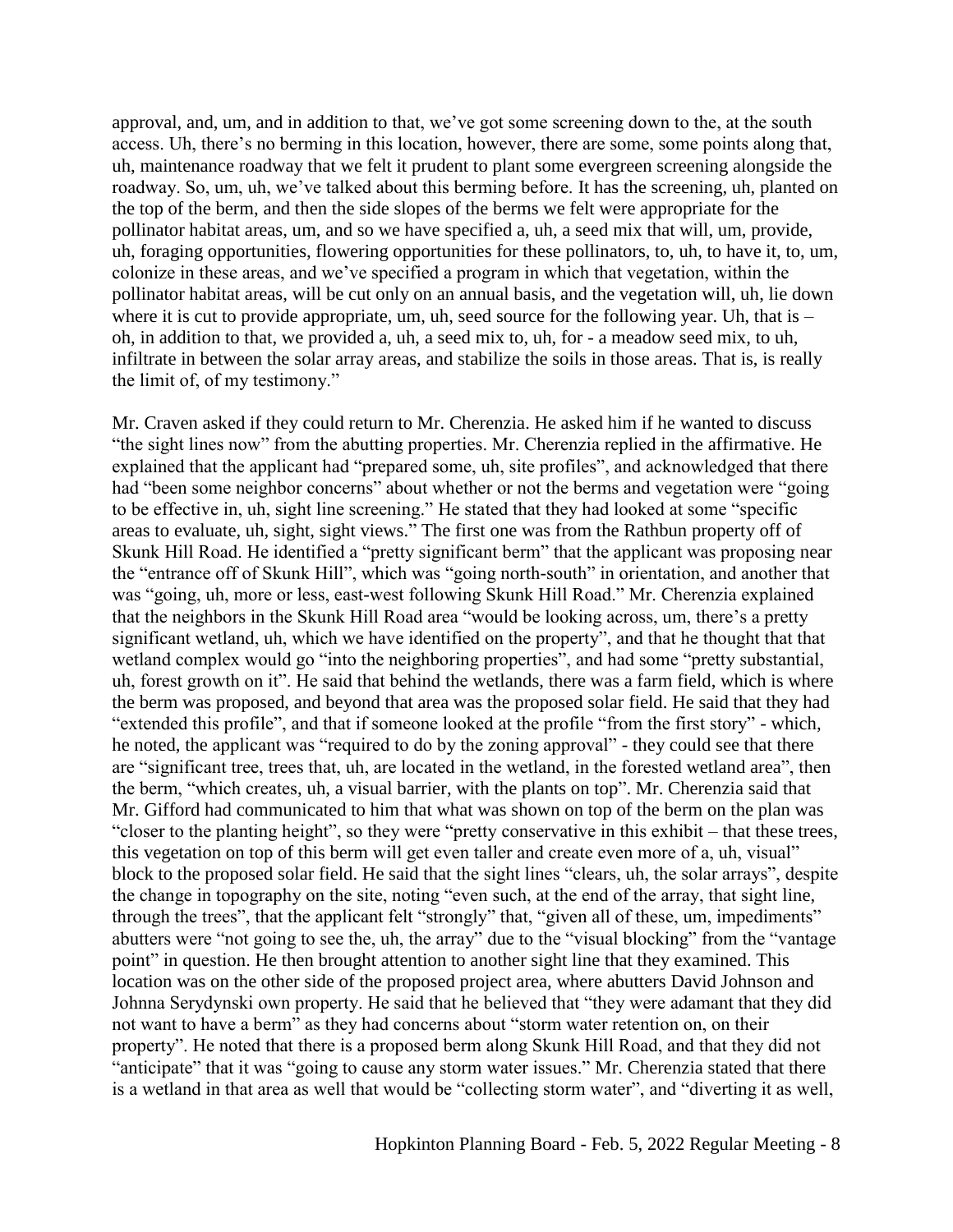approval, and, um, and in addition to that, we've got some screening down to the, at the south access. Uh, there's no berming in this location, however, there are some, some points along that, uh, maintenance roadway that we felt it prudent to plant some evergreen screening alongside the roadway. So, um, uh, we've talked about this berming before. It has the screening, uh, planted on the top of the berm, and then the side slopes of the berms we felt were appropriate for the pollinator habitat areas, um, and so we have specified a, uh, a seed mix that will, um, provide, uh, foraging opportunities, flowering opportunities for these pollinators, to, uh, to have it, to, um, colonize in these areas, and we've specified a program in which that vegetation, within the pollinator habitat areas, will be cut only on an annual basis, and the vegetation will, uh, lie down where it is cut to provide appropriate, um, uh, seed source for the following year. Uh, that is  $$ oh, in addition to that, we provided a, uh, a seed mix to, uh, for - a meadow seed mix, to uh, infiltrate in between the solar array areas, and stabilize the soils in those areas. That is, is really the limit of, of my testimony."

Mr. Craven asked if they could return to Mr. Cherenzia. He asked him if he wanted to discuss "the sight lines now" from the abutting properties. Mr. Cherenzia replied in the affirmative. He explained that the applicant had "prepared some, uh, site profiles", and acknowledged that there had "been some neighbor concerns" about whether or not the berms and vegetation were "going to be effective in, uh, sight line screening." He stated that they had looked at some "specific areas to evaluate, uh, sight, sight views." The first one was from the Rathbun property off of Skunk Hill Road. He identified a "pretty significant berm" that the applicant was proposing near the "entrance off of Skunk Hill", which was "going north-south" in orientation, and another that was "going, uh, more or less, east-west following Skunk Hill Road." Mr. Cherenzia explained that the neighbors in the Skunk Hill Road area "would be looking across, um, there's a pretty significant wetland, uh, which we have identified on the property", and that he thought that that wetland complex would go "into the neighboring properties", and had some "pretty substantial, uh, forest growth on it". He said that behind the wetlands, there was a farm field, which is where the berm was proposed, and beyond that area was the proposed solar field. He said that they had "extended this profile", and that if someone looked at the profile "from the first story" - which, he noted, the applicant was "required to do by the zoning approval" - they could see that there are "significant tree, trees that, uh, are located in the wetland, in the forested wetland area", then the berm, "which creates, uh, a visual barrier, with the plants on top". Mr. Cherenzia said that Mr. Gifford had communicated to him that what was shown on top of the berm on the plan was "closer to the planting height", so they were "pretty conservative in this exhibit – that these trees, this vegetation on top of this berm will get even taller and create even more of a, uh, visual" block to the proposed solar field. He said that the sight lines "clears, uh, the solar arrays", despite the change in topography on the site, noting "even such, at the end of the array, that sight line, through the trees", that the applicant felt "strongly" that, "given all of these, um, impediments" abutters were "not going to see the, uh, the array" due to the "visual blocking" from the "vantage point" in question. He then brought attention to another sight line that they examined. This location was on the other side of the proposed project area, where abutters David Johnson and Johnna Serydynski own property. He said that he believed that "they were adamant that they did not want to have a berm" as they had concerns about "storm water retention on, on their property". He noted that there is a proposed berm along Skunk Hill Road, and that they did not "anticipate" that it was "going to cause any storm water issues." Mr. Cherenzia stated that there is a wetland in that area as well that would be "collecting storm water", and "diverting it as well,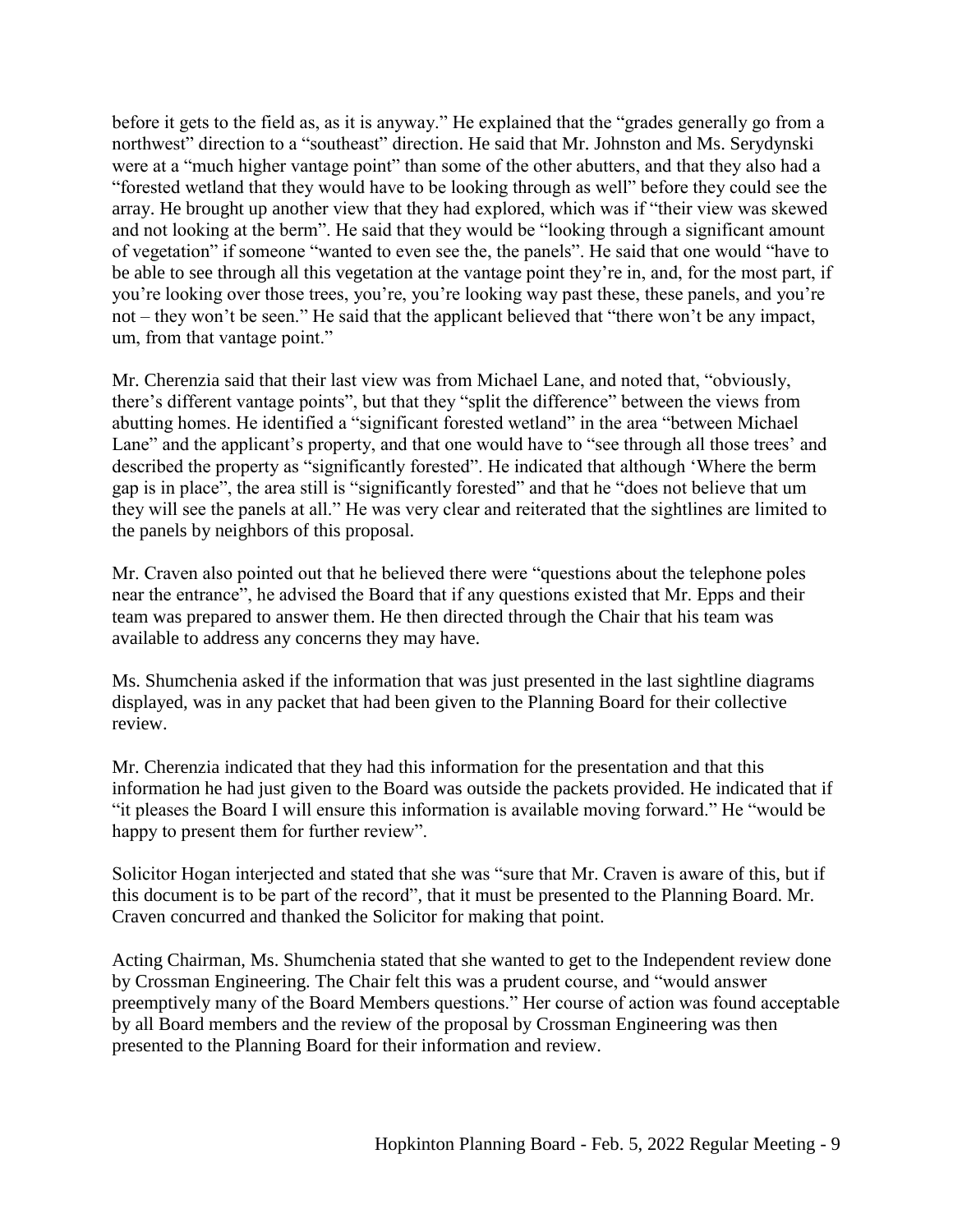before it gets to the field as, as it is anyway." He explained that the "grades generally go from a northwest" direction to a "southeast" direction. He said that Mr. Johnston and Ms. Serydynski were at a "much higher vantage point" than some of the other abutters, and that they also had a "forested wetland that they would have to be looking through as well" before they could see the array. He brought up another view that they had explored, which was if "their view was skewed and not looking at the berm". He said that they would be "looking through a significant amount of vegetation" if someone "wanted to even see the, the panels". He said that one would "have to be able to see through all this vegetation at the vantage point they're in, and, for the most part, if you're looking over those trees, you're, you're looking way past these, these panels, and you're not – they won't be seen." He said that the applicant believed that "there won't be any impact, um, from that vantage point."

Mr. Cherenzia said that their last view was from Michael Lane, and noted that, "obviously, there's different vantage points", but that they "split the difference" between the views from abutting homes. He identified a "significant forested wetland" in the area "between Michael Lane" and the applicant's property, and that one would have to "see through all those trees' and described the property as "significantly forested". He indicated that although 'Where the berm gap is in place", the area still is "significantly forested" and that he "does not believe that um they will see the panels at all." He was very clear and reiterated that the sightlines are limited to the panels by neighbors of this proposal.

Mr. Craven also pointed out that he believed there were "questions about the telephone poles near the entrance", he advised the Board that if any questions existed that Mr. Epps and their team was prepared to answer them. He then directed through the Chair that his team was available to address any concerns they may have.

Ms. Shumchenia asked if the information that was just presented in the last sightline diagrams displayed, was in any packet that had been given to the Planning Board for their collective review.

Mr. Cherenzia indicated that they had this information for the presentation and that this information he had just given to the Board was outside the packets provided. He indicated that if "it pleases the Board I will ensure this information is available moving forward." He "would be happy to present them for further review".

Solicitor Hogan interjected and stated that she was "sure that Mr. Craven is aware of this, but if this document is to be part of the record", that it must be presented to the Planning Board. Mr. Craven concurred and thanked the Solicitor for making that point.

Acting Chairman, Ms. Shumchenia stated that she wanted to get to the Independent review done by Crossman Engineering. The Chair felt this was a prudent course, and "would answer preemptively many of the Board Members questions." Her course of action was found acceptable by all Board members and the review of the proposal by Crossman Engineering was then presented to the Planning Board for their information and review.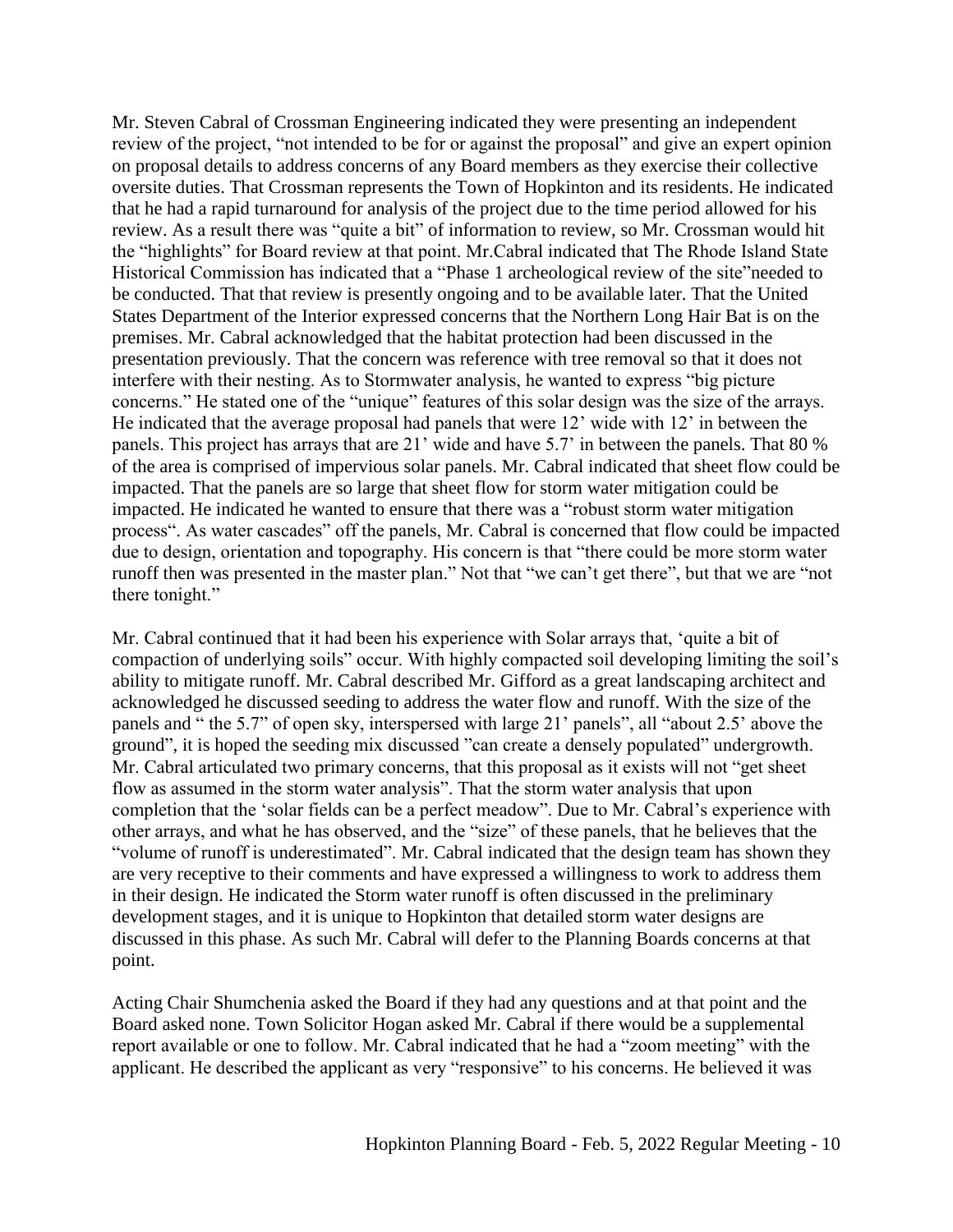Mr. Steven Cabral of Crossman Engineering indicated they were presenting an independent review of the project, "not intended to be for or against the proposal" and give an expert opinion on proposal details to address concerns of any Board members as they exercise their collective oversite duties. That Crossman represents the Town of Hopkinton and its residents. He indicated that he had a rapid turnaround for analysis of the project due to the time period allowed for his review. As a result there was "quite a bit" of information to review, so Mr. Crossman would hit the "highlights" for Board review at that point. Mr.Cabral indicated that The Rhode Island State Historical Commission has indicated that a "Phase 1 archeological review of the site"needed to be conducted. That that review is presently ongoing and to be available later. That the United States Department of the Interior expressed concerns that the Northern Long Hair Bat is on the premises. Mr. Cabral acknowledged that the habitat protection had been discussed in the presentation previously. That the concern was reference with tree removal so that it does not interfere with their nesting. As to Stormwater analysis, he wanted to express "big picture concerns." He stated one of the "unique" features of this solar design was the size of the arrays. He indicated that the average proposal had panels that were 12' wide with 12' in between the panels. This project has arrays that are 21' wide and have 5.7' in between the panels. That 80 % of the area is comprised of impervious solar panels. Mr. Cabral indicated that sheet flow could be impacted. That the panels are so large that sheet flow for storm water mitigation could be impacted. He indicated he wanted to ensure that there was a "robust storm water mitigation process". As water cascades" off the panels, Mr. Cabral is concerned that flow could be impacted due to design, orientation and topography. His concern is that "there could be more storm water runoff then was presented in the master plan." Not that "we can't get there", but that we are "not there tonight."

Mr. Cabral continued that it had been his experience with Solar arrays that, 'quite a bit of compaction of underlying soils" occur. With highly compacted soil developing limiting the soil's ability to mitigate runoff. Mr. Cabral described Mr. Gifford as a great landscaping architect and acknowledged he discussed seeding to address the water flow and runoff. With the size of the panels and " the 5.7" of open sky, interspersed with large 21' panels", all "about 2.5' above the ground", it is hoped the seeding mix discussed "can create a densely populated" undergrowth. Mr. Cabral articulated two primary concerns, that this proposal as it exists will not "get sheet flow as assumed in the storm water analysis". That the storm water analysis that upon completion that the 'solar fields can be a perfect meadow". Due to Mr. Cabral's experience with other arrays, and what he has observed, and the "size" of these panels, that he believes that the "volume of runoff is underestimated". Mr. Cabral indicated that the design team has shown they are very receptive to their comments and have expressed a willingness to work to address them in their design. He indicated the Storm water runoff is often discussed in the preliminary development stages, and it is unique to Hopkinton that detailed storm water designs are discussed in this phase. As such Mr. Cabral will defer to the Planning Boards concerns at that point.

Acting Chair Shumchenia asked the Board if they had any questions and at that point and the Board asked none. Town Solicitor Hogan asked Mr. Cabral if there would be a supplemental report available or one to follow. Mr. Cabral indicated that he had a "zoom meeting" with the applicant. He described the applicant as very "responsive" to his concerns. He believed it was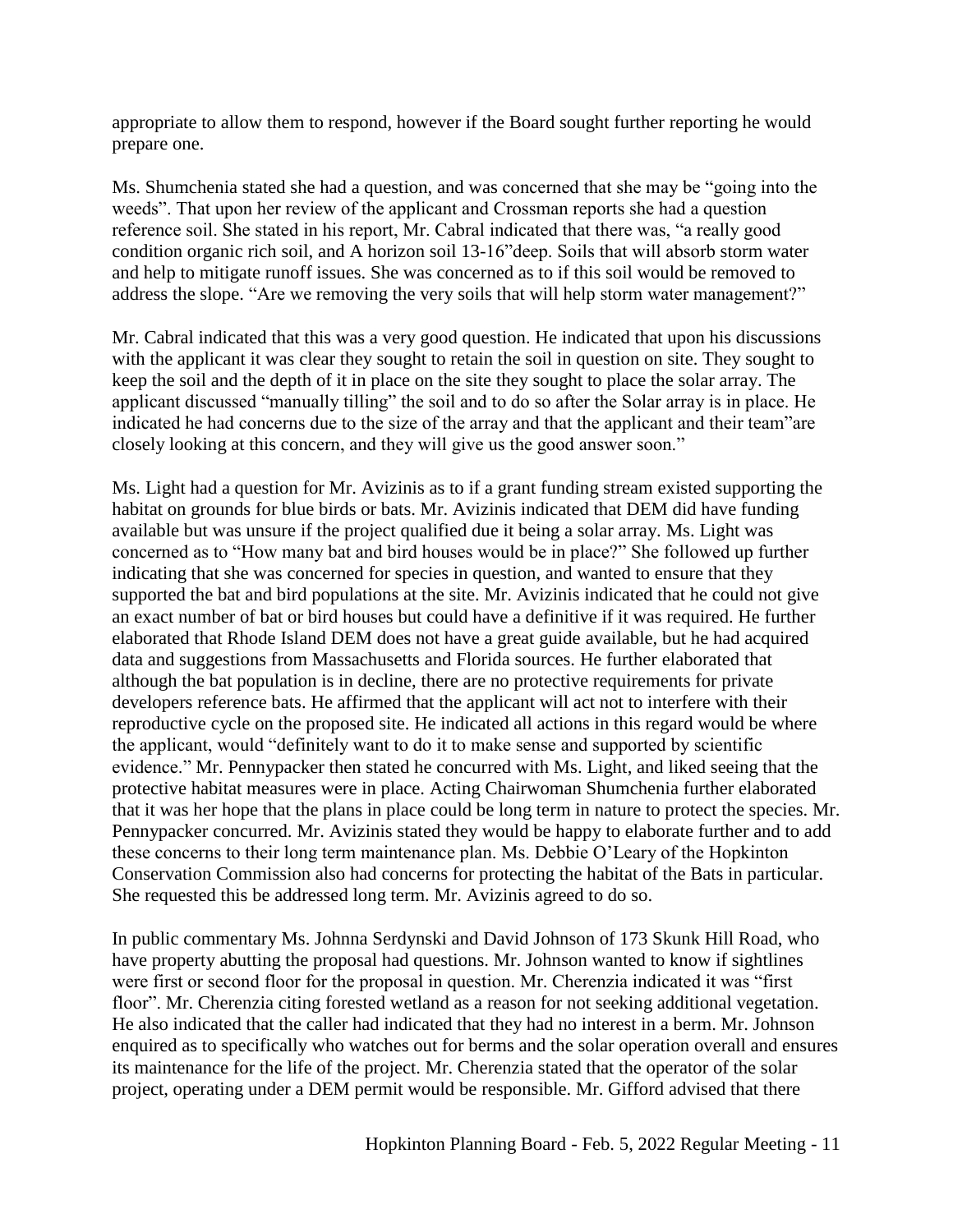appropriate to allow them to respond, however if the Board sought further reporting he would prepare one.

Ms. Shumchenia stated she had a question, and was concerned that she may be "going into the weeds". That upon her review of the applicant and Crossman reports she had a question reference soil. She stated in his report, Mr. Cabral indicated that there was, "a really good condition organic rich soil, and A horizon soil 13-16"deep. Soils that will absorb storm water and help to mitigate runoff issues. She was concerned as to if this soil would be removed to address the slope. "Are we removing the very soils that will help storm water management?"

Mr. Cabral indicated that this was a very good question. He indicated that upon his discussions with the applicant it was clear they sought to retain the soil in question on site. They sought to keep the soil and the depth of it in place on the site they sought to place the solar array. The applicant discussed "manually tilling" the soil and to do so after the Solar array is in place. He indicated he had concerns due to the size of the array and that the applicant and their team"are closely looking at this concern, and they will give us the good answer soon."

Ms. Light had a question for Mr. Avizinis as to if a grant funding stream existed supporting the habitat on grounds for blue birds or bats. Mr. Avizinis indicated that DEM did have funding available but was unsure if the project qualified due it being a solar array. Ms. Light was concerned as to "How many bat and bird houses would be in place?" She followed up further indicating that she was concerned for species in question, and wanted to ensure that they supported the bat and bird populations at the site. Mr. Avizinis indicated that he could not give an exact number of bat or bird houses but could have a definitive if it was required. He further elaborated that Rhode Island DEM does not have a great guide available, but he had acquired data and suggestions from Massachusetts and Florida sources. He further elaborated that although the bat population is in decline, there are no protective requirements for private developers reference bats. He affirmed that the applicant will act not to interfere with their reproductive cycle on the proposed site. He indicated all actions in this regard would be where the applicant, would "definitely want to do it to make sense and supported by scientific evidence." Mr. Pennypacker then stated he concurred with Ms. Light, and liked seeing that the protective habitat measures were in place. Acting Chairwoman Shumchenia further elaborated that it was her hope that the plans in place could be long term in nature to protect the species. Mr. Pennypacker concurred. Mr. Avizinis stated they would be happy to elaborate further and to add these concerns to their long term maintenance plan. Ms. Debbie O'Leary of the Hopkinton Conservation Commission also had concerns for protecting the habitat of the Bats in particular. She requested this be addressed long term. Mr. Avizinis agreed to do so.

In public commentary Ms. Johnna Serdynski and David Johnson of 173 Skunk Hill Road, who have property abutting the proposal had questions. Mr. Johnson wanted to know if sightlines were first or second floor for the proposal in question. Mr. Cherenzia indicated it was "first floor". Mr. Cherenzia citing forested wetland as a reason for not seeking additional vegetation. He also indicated that the caller had indicated that they had no interest in a berm. Mr. Johnson enquired as to specifically who watches out for berms and the solar operation overall and ensures its maintenance for the life of the project. Mr. Cherenzia stated that the operator of the solar project, operating under a DEM permit would be responsible. Mr. Gifford advised that there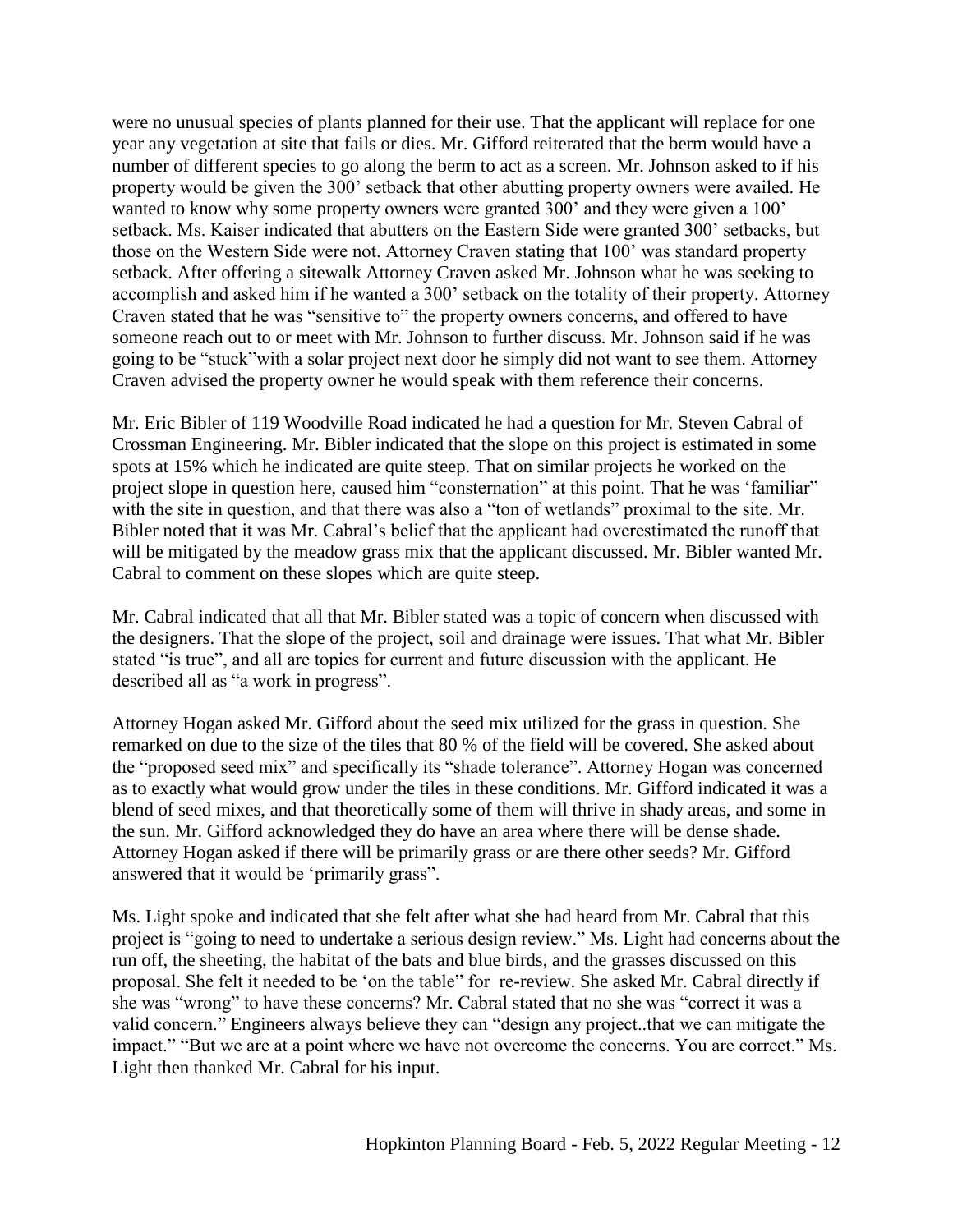were no unusual species of plants planned for their use. That the applicant will replace for one year any vegetation at site that fails or dies. Mr. Gifford reiterated that the berm would have a number of different species to go along the berm to act as a screen. Mr. Johnson asked to if his property would be given the 300' setback that other abutting property owners were availed. He wanted to know why some property owners were granted 300' and they were given a 100' setback. Ms. Kaiser indicated that abutters on the Eastern Side were granted 300' setbacks, but those on the Western Side were not. Attorney Craven stating that 100' was standard property setback. After offering a sitewalk Attorney Craven asked Mr. Johnson what he was seeking to accomplish and asked him if he wanted a 300' setback on the totality of their property. Attorney Craven stated that he was "sensitive to" the property owners concerns, and offered to have someone reach out to or meet with Mr. Johnson to further discuss. Mr. Johnson said if he was going to be "stuck"with a solar project next door he simply did not want to see them. Attorney Craven advised the property owner he would speak with them reference their concerns.

Mr. Eric Bibler of 119 Woodville Road indicated he had a question for Mr. Steven Cabral of Crossman Engineering. Mr. Bibler indicated that the slope on this project is estimated in some spots at 15% which he indicated are quite steep. That on similar projects he worked on the project slope in question here, caused him "consternation" at this point. That he was 'familiar" with the site in question, and that there was also a "ton of wetlands" proximal to the site. Mr. Bibler noted that it was Mr. Cabral's belief that the applicant had overestimated the runoff that will be mitigated by the meadow grass mix that the applicant discussed. Mr. Bibler wanted Mr. Cabral to comment on these slopes which are quite steep.

Mr. Cabral indicated that all that Mr. Bibler stated was a topic of concern when discussed with the designers. That the slope of the project, soil and drainage were issues. That what Mr. Bibler stated "is true", and all are topics for current and future discussion with the applicant. He described all as "a work in progress".

Attorney Hogan asked Mr. Gifford about the seed mix utilized for the grass in question. She remarked on due to the size of the tiles that 80 % of the field will be covered. She asked about the "proposed seed mix" and specifically its "shade tolerance". Attorney Hogan was concerned as to exactly what would grow under the tiles in these conditions. Mr. Gifford indicated it was a blend of seed mixes, and that theoretically some of them will thrive in shady areas, and some in the sun. Mr. Gifford acknowledged they do have an area where there will be dense shade. Attorney Hogan asked if there will be primarily grass or are there other seeds? Mr. Gifford answered that it would be 'primarily grass".

Ms. Light spoke and indicated that she felt after what she had heard from Mr. Cabral that this project is "going to need to undertake a serious design review." Ms. Light had concerns about the run off, the sheeting, the habitat of the bats and blue birds, and the grasses discussed on this proposal. She felt it needed to be 'on the table" for re-review. She asked Mr. Cabral directly if she was "wrong" to have these concerns? Mr. Cabral stated that no she was "correct it was a valid concern." Engineers always believe they can "design any project..that we can mitigate the impact." "But we are at a point where we have not overcome the concerns. You are correct." Ms. Light then thanked Mr. Cabral for his input.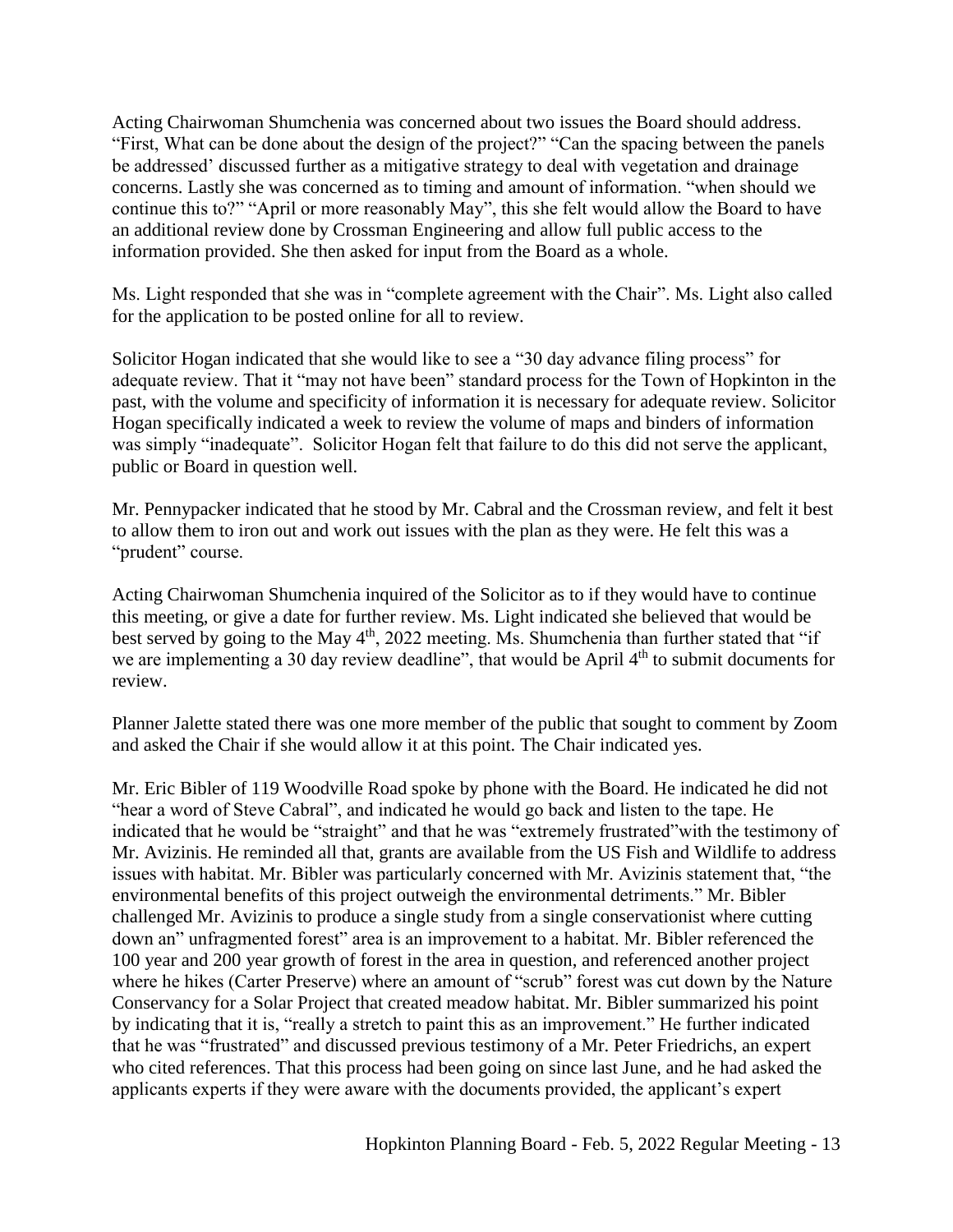Acting Chairwoman Shumchenia was concerned about two issues the Board should address. "First, What can be done about the design of the project?" "Can the spacing between the panels be addressed' discussed further as a mitigative strategy to deal with vegetation and drainage concerns. Lastly she was concerned as to timing and amount of information. "when should we continue this to?" "April or more reasonably May", this she felt would allow the Board to have an additional review done by Crossman Engineering and allow full public access to the information provided. She then asked for input from the Board as a whole.

Ms. Light responded that she was in "complete agreement with the Chair". Ms. Light also called for the application to be posted online for all to review.

Solicitor Hogan indicated that she would like to see a "30 day advance filing process" for adequate review. That it "may not have been" standard process for the Town of Hopkinton in the past, with the volume and specificity of information it is necessary for adequate review. Solicitor Hogan specifically indicated a week to review the volume of maps and binders of information was simply "inadequate". Solicitor Hogan felt that failure to do this did not serve the applicant, public or Board in question well.

Mr. Pennypacker indicated that he stood by Mr. Cabral and the Crossman review, and felt it best to allow them to iron out and work out issues with the plan as they were. He felt this was a "prudent" course.

Acting Chairwoman Shumchenia inquired of the Solicitor as to if they would have to continue this meeting, or give a date for further review. Ms. Light indicated she believed that would be best served by going to the May  $4<sup>th</sup>$ , 2022 meeting. Ms. Shumchenia than further stated that "if we are implementing a 30 day review deadline", that would be April  $4<sup>th</sup>$  to submit documents for review.

Planner Jalette stated there was one more member of the public that sought to comment by Zoom and asked the Chair if she would allow it at this point. The Chair indicated yes.

Mr. Eric Bibler of 119 Woodville Road spoke by phone with the Board. He indicated he did not "hear a word of Steve Cabral", and indicated he would go back and listen to the tape. He indicated that he would be "straight" and that he was "extremely frustrated"with the testimony of Mr. Avizinis. He reminded all that, grants are available from the US Fish and Wildlife to address issues with habitat. Mr. Bibler was particularly concerned with Mr. Avizinis statement that, "the environmental benefits of this project outweigh the environmental detriments." Mr. Bibler challenged Mr. Avizinis to produce a single study from a single conservationist where cutting down an" unfragmented forest" area is an improvement to a habitat. Mr. Bibler referenced the 100 year and 200 year growth of forest in the area in question, and referenced another project where he hikes (Carter Preserve) where an amount of "scrub" forest was cut down by the Nature Conservancy for a Solar Project that created meadow habitat. Mr. Bibler summarized his point by indicating that it is, "really a stretch to paint this as an improvement." He further indicated that he was "frustrated" and discussed previous testimony of a Mr. Peter Friedrichs, an expert who cited references. That this process had been going on since last June, and he had asked the applicants experts if they were aware with the documents provided, the applicant's expert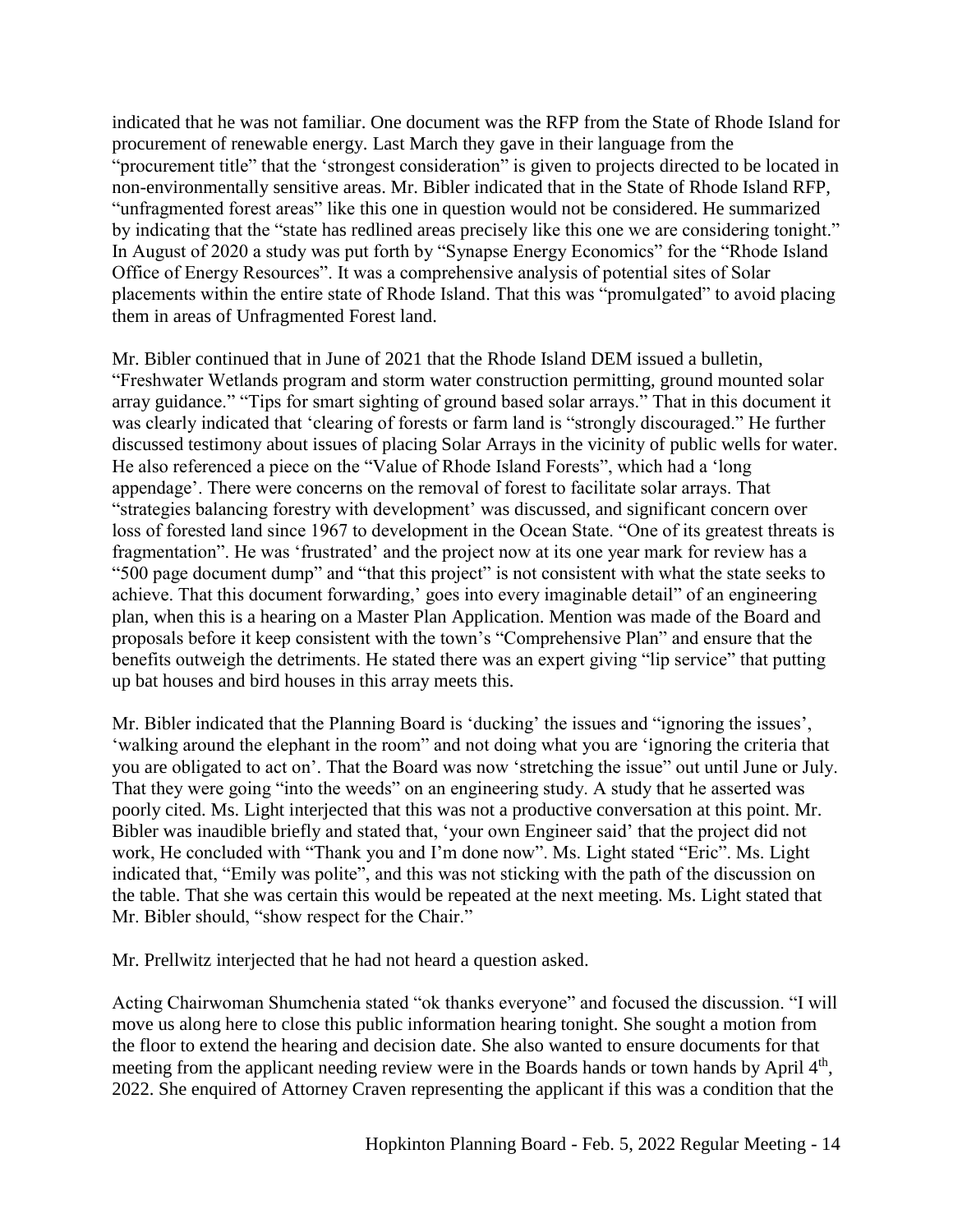indicated that he was not familiar. One document was the RFP from the State of Rhode Island for procurement of renewable energy. Last March they gave in their language from the "procurement title" that the 'strongest consideration" is given to projects directed to be located in non-environmentally sensitive areas. Mr. Bibler indicated that in the State of Rhode Island RFP, "unfragmented forest areas" like this one in question would not be considered. He summarized by indicating that the "state has redlined areas precisely like this one we are considering tonight." In August of 2020 a study was put forth by "Synapse Energy Economics" for the "Rhode Island Office of Energy Resources". It was a comprehensive analysis of potential sites of Solar placements within the entire state of Rhode Island. That this was "promulgated" to avoid placing them in areas of Unfragmented Forest land.

Mr. Bibler continued that in June of 2021 that the Rhode Island DEM issued a bulletin, "Freshwater Wetlands program and storm water construction permitting, ground mounted solar array guidance." "Tips for smart sighting of ground based solar arrays." That in this document it was clearly indicated that 'clearing of forests or farm land is "strongly discouraged." He further discussed testimony about issues of placing Solar Arrays in the vicinity of public wells for water. He also referenced a piece on the "Value of Rhode Island Forests", which had a 'long appendage'. There were concerns on the removal of forest to facilitate solar arrays. That "strategies balancing forestry with development' was discussed, and significant concern over loss of forested land since 1967 to development in the Ocean State. "One of its greatest threats is fragmentation". He was 'frustrated' and the project now at its one year mark for review has a "500 page document dump" and "that this project" is not consistent with what the state seeks to achieve. That this document forwarding,' goes into every imaginable detail" of an engineering plan, when this is a hearing on a Master Plan Application. Mention was made of the Board and proposals before it keep consistent with the town's "Comprehensive Plan" and ensure that the benefits outweigh the detriments. He stated there was an expert giving "lip service" that putting up bat houses and bird houses in this array meets this.

Mr. Bibler indicated that the Planning Board is 'ducking' the issues and "ignoring the issues', 'walking around the elephant in the room" and not doing what you are 'ignoring the criteria that you are obligated to act on'. That the Board was now 'stretching the issue" out until June or July. That they were going "into the weeds" on an engineering study. A study that he asserted was poorly cited. Ms. Light interjected that this was not a productive conversation at this point. Mr. Bibler was inaudible briefly and stated that, 'your own Engineer said' that the project did not work, He concluded with "Thank you and I'm done now". Ms. Light stated "Eric". Ms. Light indicated that, "Emily was polite", and this was not sticking with the path of the discussion on the table. That she was certain this would be repeated at the next meeting. Ms. Light stated that Mr. Bibler should, "show respect for the Chair."

Mr. Prellwitz interjected that he had not heard a question asked.

Acting Chairwoman Shumchenia stated "ok thanks everyone" and focused the discussion. "I will move us along here to close this public information hearing tonight. She sought a motion from the floor to extend the hearing and decision date. She also wanted to ensure documents for that meeting from the applicant needing review were in the Boards hands or town hands by April 4<sup>th</sup>, 2022. She enquired of Attorney Craven representing the applicant if this was a condition that the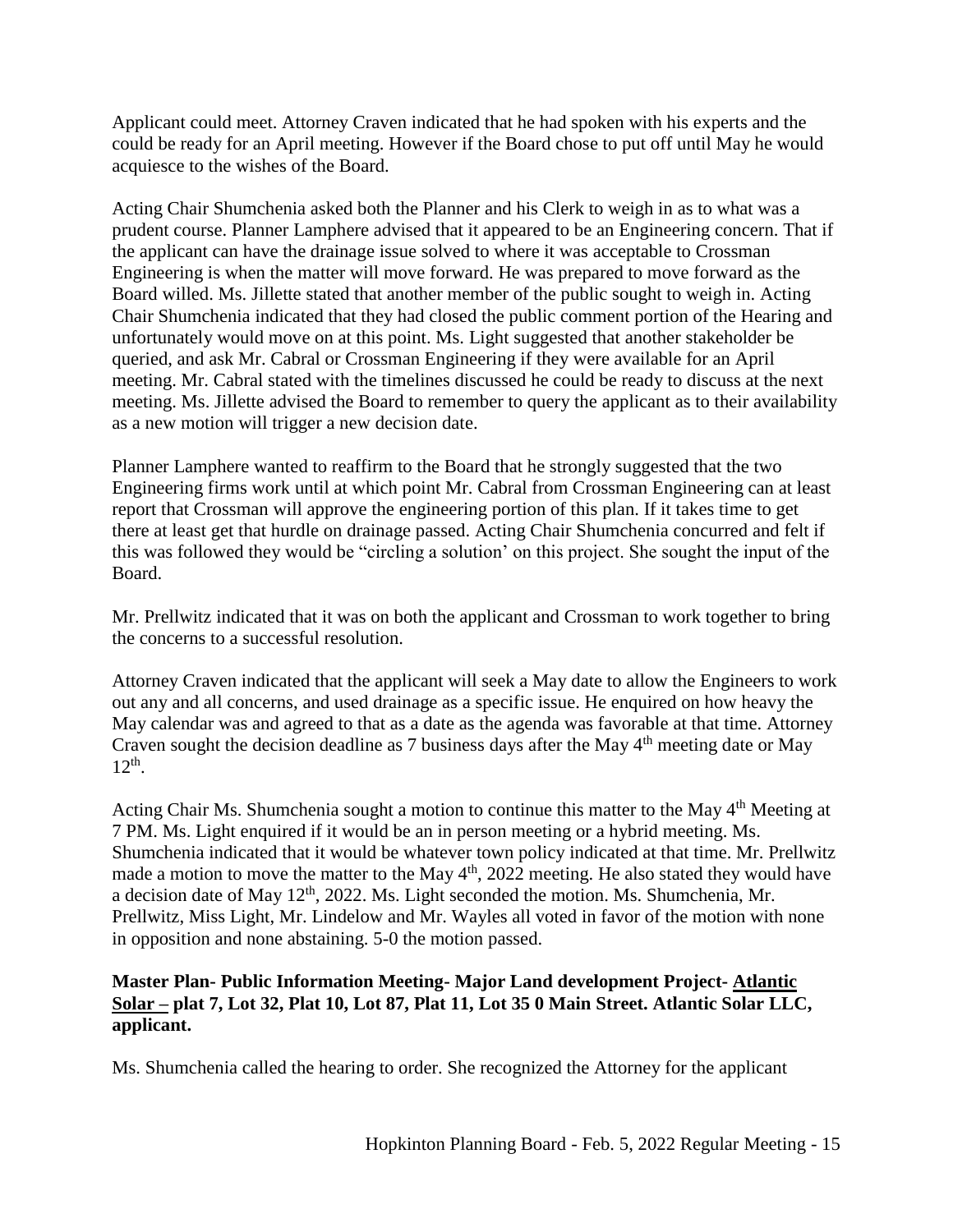Applicant could meet. Attorney Craven indicated that he had spoken with his experts and the could be ready for an April meeting. However if the Board chose to put off until May he would acquiesce to the wishes of the Board.

Acting Chair Shumchenia asked both the Planner and his Clerk to weigh in as to what was a prudent course. Planner Lamphere advised that it appeared to be an Engineering concern. That if the applicant can have the drainage issue solved to where it was acceptable to Crossman Engineering is when the matter will move forward. He was prepared to move forward as the Board willed. Ms. Jillette stated that another member of the public sought to weigh in. Acting Chair Shumchenia indicated that they had closed the public comment portion of the Hearing and unfortunately would move on at this point. Ms. Light suggested that another stakeholder be queried, and ask Mr. Cabral or Crossman Engineering if they were available for an April meeting. Mr. Cabral stated with the timelines discussed he could be ready to discuss at the next meeting. Ms. Jillette advised the Board to remember to query the applicant as to their availability as a new motion will trigger a new decision date.

Planner Lamphere wanted to reaffirm to the Board that he strongly suggested that the two Engineering firms work until at which point Mr. Cabral from Crossman Engineering can at least report that Crossman will approve the engineering portion of this plan. If it takes time to get there at least get that hurdle on drainage passed. Acting Chair Shumchenia concurred and felt if this was followed they would be "circling a solution' on this project. She sought the input of the Board.

Mr. Prellwitz indicated that it was on both the applicant and Crossman to work together to bring the concerns to a successful resolution.

Attorney Craven indicated that the applicant will seek a May date to allow the Engineers to work out any and all concerns, and used drainage as a specific issue. He enquired on how heavy the May calendar was and agreed to that as a date as the agenda was favorable at that time. Attorney Craven sought the decision deadline as 7 business days after the May 4<sup>th</sup> meeting date or May 12th .

Acting Chair Ms. Shumchenia sought a motion to continue this matter to the May 4<sup>th</sup> Meeting at 7 PM. Ms. Light enquired if it would be an in person meeting or a hybrid meeting. Ms. Shumchenia indicated that it would be whatever town policy indicated at that time. Mr. Prellwitz made a motion to move the matter to the May  $4<sup>th</sup>$ , 2022 meeting. He also stated they would have a decision date of May 12<sup>th</sup>, 2022. Ms. Light seconded the motion. Ms. Shumchenia, Mr. Prellwitz, Miss Light, Mr. Lindelow and Mr. Wayles all voted in favor of the motion with none in opposition and none abstaining. 5-0 the motion passed.

## **Master Plan- Public Information Meeting- Major Land development Project- Atlantic Solar – plat 7, Lot 32, Plat 10, Lot 87, Plat 11, Lot 35 0 Main Street. Atlantic Solar LLC, applicant.**

Ms. Shumchenia called the hearing to order. She recognized the Attorney for the applicant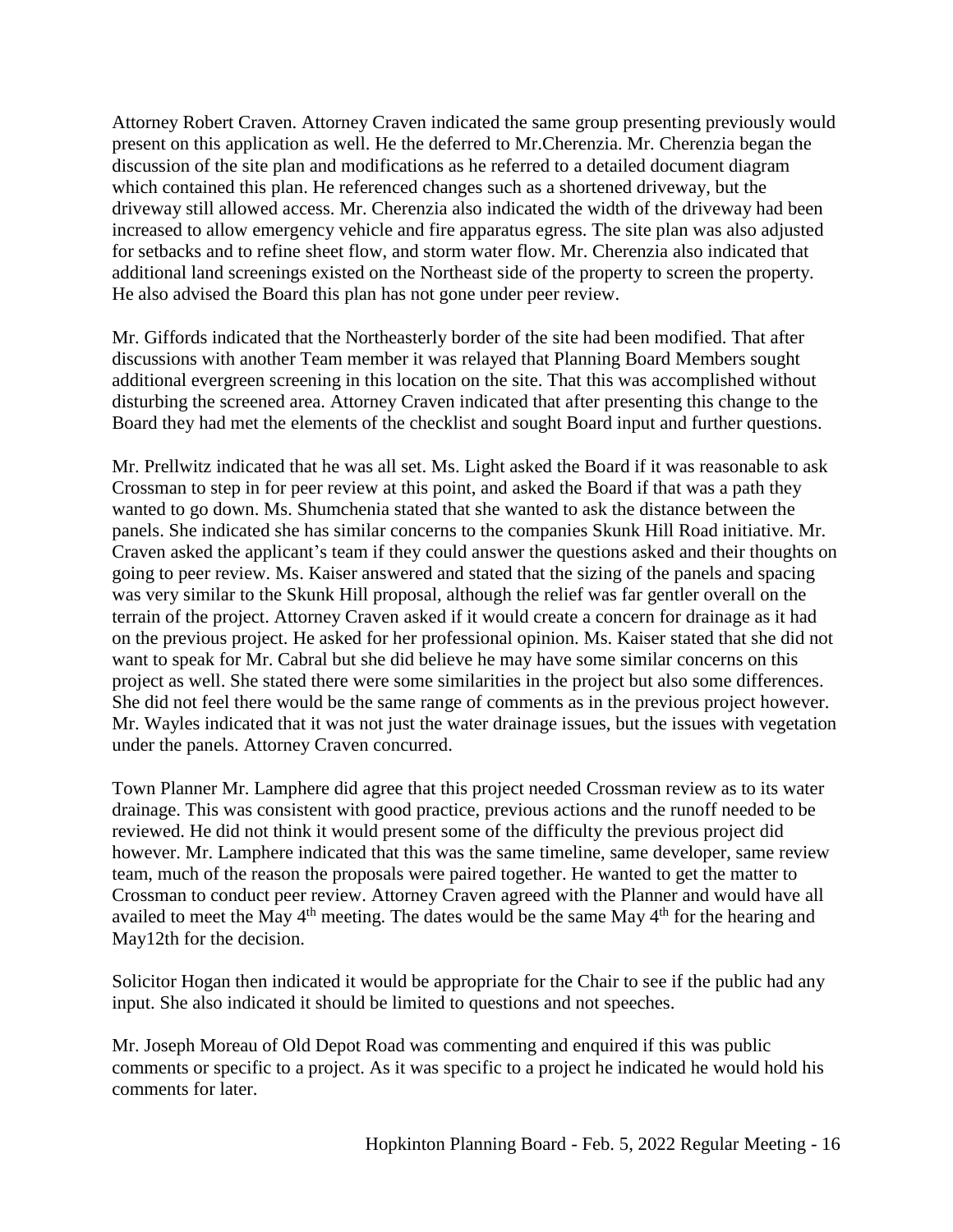Attorney Robert Craven. Attorney Craven indicated the same group presenting previously would present on this application as well. He the deferred to Mr.Cherenzia. Mr. Cherenzia began the discussion of the site plan and modifications as he referred to a detailed document diagram which contained this plan. He referenced changes such as a shortened driveway, but the driveway still allowed access. Mr. Cherenzia also indicated the width of the driveway had been increased to allow emergency vehicle and fire apparatus egress. The site plan was also adjusted for setbacks and to refine sheet flow, and storm water flow. Mr. Cherenzia also indicated that additional land screenings existed on the Northeast side of the property to screen the property. He also advised the Board this plan has not gone under peer review.

Mr. Giffords indicated that the Northeasterly border of the site had been modified. That after discussions with another Team member it was relayed that Planning Board Members sought additional evergreen screening in this location on the site. That this was accomplished without disturbing the screened area. Attorney Craven indicated that after presenting this change to the Board they had met the elements of the checklist and sought Board input and further questions.

Mr. Prellwitz indicated that he was all set. Ms. Light asked the Board if it was reasonable to ask Crossman to step in for peer review at this point, and asked the Board if that was a path they wanted to go down. Ms. Shumchenia stated that she wanted to ask the distance between the panels. She indicated she has similar concerns to the companies Skunk Hill Road initiative. Mr. Craven asked the applicant's team if they could answer the questions asked and their thoughts on going to peer review. Ms. Kaiser answered and stated that the sizing of the panels and spacing was very similar to the Skunk Hill proposal, although the relief was far gentler overall on the terrain of the project. Attorney Craven asked if it would create a concern for drainage as it had on the previous project. He asked for her professional opinion. Ms. Kaiser stated that she did not want to speak for Mr. Cabral but she did believe he may have some similar concerns on this project as well. She stated there were some similarities in the project but also some differences. She did not feel there would be the same range of comments as in the previous project however. Mr. Wayles indicated that it was not just the water drainage issues, but the issues with vegetation under the panels. Attorney Craven concurred.

Town Planner Mr. Lamphere did agree that this project needed Crossman review as to its water drainage. This was consistent with good practice, previous actions and the runoff needed to be reviewed. He did not think it would present some of the difficulty the previous project did however. Mr. Lamphere indicated that this was the same timeline, same developer, same review team, much of the reason the proposals were paired together. He wanted to get the matter to Crossman to conduct peer review. Attorney Craven agreed with the Planner and would have all availed to meet the May  $4<sup>th</sup>$  meeting. The dates would be the same May  $4<sup>th</sup>$  for the hearing and May12th for the decision.

Solicitor Hogan then indicated it would be appropriate for the Chair to see if the public had any input. She also indicated it should be limited to questions and not speeches.

Mr. Joseph Moreau of Old Depot Road was commenting and enquired if this was public comments or specific to a project. As it was specific to a project he indicated he would hold his comments for later.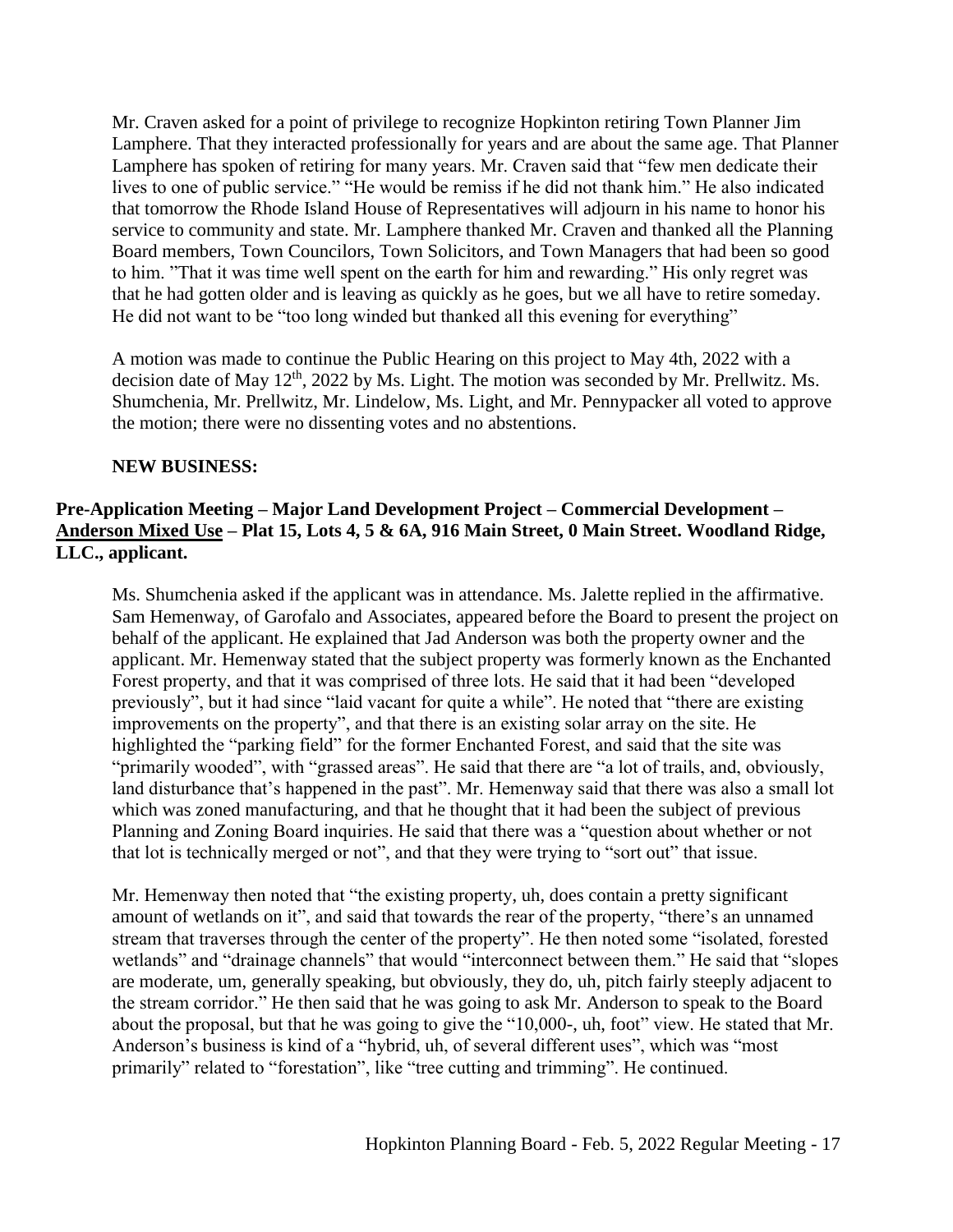Mr. Craven asked for a point of privilege to recognize Hopkinton retiring Town Planner Jim Lamphere. That they interacted professionally for years and are about the same age. That Planner Lamphere has spoken of retiring for many years. Mr. Craven said that "few men dedicate their lives to one of public service." "He would be remiss if he did not thank him." He also indicated that tomorrow the Rhode Island House of Representatives will adjourn in his name to honor his service to community and state. Mr. Lamphere thanked Mr. Craven and thanked all the Planning Board members, Town Councilors, Town Solicitors, and Town Managers that had been so good to him. "That it was time well spent on the earth for him and rewarding." His only regret was that he had gotten older and is leaving as quickly as he goes, but we all have to retire someday. He did not want to be "too long winded but thanked all this evening for everything"

A motion was made to continue the Public Hearing on this project to May 4th, 2022 with a decision date of May 12<sup>th</sup>, 2022 by Ms. Light. The motion was seconded by Mr. Prellwitz. Ms. Shumchenia, Mr. Prellwitz, Mr. Lindelow, Ms. Light, and Mr. Pennypacker all voted to approve the motion; there were no dissenting votes and no abstentions.

## **NEW BUSINESS:**

# **Pre-Application Meeting – Major Land Development Project – Commercial Development – Anderson Mixed Use – Plat 15, Lots 4, 5 & 6A, 916 Main Street, 0 Main Street. Woodland Ridge, LLC., applicant.**

Ms. Shumchenia asked if the applicant was in attendance. Ms. Jalette replied in the affirmative. Sam Hemenway, of Garofalo and Associates, appeared before the Board to present the project on behalf of the applicant. He explained that Jad Anderson was both the property owner and the applicant. Mr. Hemenway stated that the subject property was formerly known as the Enchanted Forest property, and that it was comprised of three lots. He said that it had been "developed previously", but it had since "laid vacant for quite a while". He noted that "there are existing improvements on the property", and that there is an existing solar array on the site. He highlighted the "parking field" for the former Enchanted Forest, and said that the site was "primarily wooded", with "grassed areas". He said that there are "a lot of trails, and, obviously, land disturbance that's happened in the past". Mr. Hemenway said that there was also a small lot which was zoned manufacturing, and that he thought that it had been the subject of previous Planning and Zoning Board inquiries. He said that there was a "question about whether or not that lot is technically merged or not", and that they were trying to "sort out" that issue.

Mr. Hemenway then noted that "the existing property, uh, does contain a pretty significant amount of wetlands on it", and said that towards the rear of the property, "there's an unnamed stream that traverses through the center of the property". He then noted some "isolated, forested wetlands" and "drainage channels" that would "interconnect between them." He said that "slopes are moderate, um, generally speaking, but obviously, they do, uh, pitch fairly steeply adjacent to the stream corridor." He then said that he was going to ask Mr. Anderson to speak to the Board about the proposal, but that he was going to give the "10,000-, uh, foot" view. He stated that Mr. Anderson's business is kind of a "hybrid, uh, of several different uses", which was "most primarily" related to "forestation", like "tree cutting and trimming". He continued.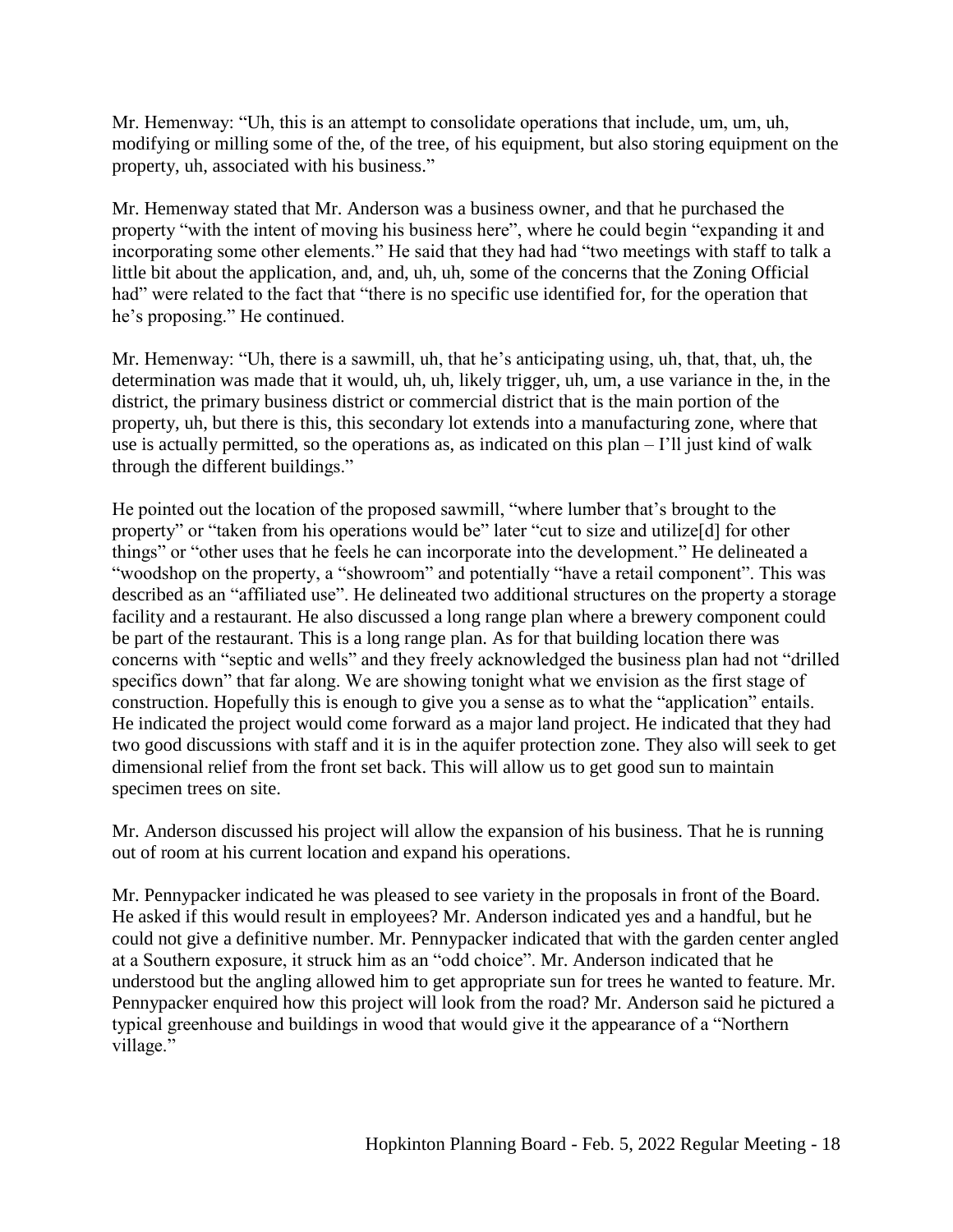Mr. Hemenway: "Uh, this is an attempt to consolidate operations that include, um, um, uh, modifying or milling some of the, of the tree, of his equipment, but also storing equipment on the property, uh, associated with his business."

Mr. Hemenway stated that Mr. Anderson was a business owner, and that he purchased the property "with the intent of moving his business here", where he could begin "expanding it and incorporating some other elements." He said that they had had "two meetings with staff to talk a little bit about the application, and, and, uh, uh, some of the concerns that the Zoning Official had" were related to the fact that "there is no specific use identified for, for the operation that he's proposing." He continued.

Mr. Hemenway: "Uh, there is a sawmill, uh, that he's anticipating using, uh, that, that, uh, the determination was made that it would, uh, uh, likely trigger, uh, um, a use variance in the, in the district, the primary business district or commercial district that is the main portion of the property, uh, but there is this, this secondary lot extends into a manufacturing zone, where that use is actually permitted, so the operations as, as indicated on this plan – I'll just kind of walk through the different buildings."

He pointed out the location of the proposed sawmill, "where lumber that's brought to the property" or "taken from his operations would be" later "cut to size and utilize<sup>[d]</sup> for other things" or "other uses that he feels he can incorporate into the development." He delineated a "woodshop on the property, a "showroom" and potentially "have a retail component". This was described as an "affiliated use". He delineated two additional structures on the property a storage facility and a restaurant. He also discussed a long range plan where a brewery component could be part of the restaurant. This is a long range plan. As for that building location there was concerns with "septic and wells" and they freely acknowledged the business plan had not "drilled specifics down" that far along. We are showing tonight what we envision as the first stage of construction. Hopefully this is enough to give you a sense as to what the "application" entails. He indicated the project would come forward as a major land project. He indicated that they had two good discussions with staff and it is in the aquifer protection zone. They also will seek to get dimensional relief from the front set back. This will allow us to get good sun to maintain specimen trees on site.

Mr. Anderson discussed his project will allow the expansion of his business. That he is running out of room at his current location and expand his operations.

Mr. Pennypacker indicated he was pleased to see variety in the proposals in front of the Board. He asked if this would result in employees? Mr. Anderson indicated yes and a handful, but he could not give a definitive number. Mr. Pennypacker indicated that with the garden center angled at a Southern exposure, it struck him as an "odd choice". Mr. Anderson indicated that he understood but the angling allowed him to get appropriate sun for trees he wanted to feature. Mr. Pennypacker enquired how this project will look from the road? Mr. Anderson said he pictured a typical greenhouse and buildings in wood that would give it the appearance of a "Northern village."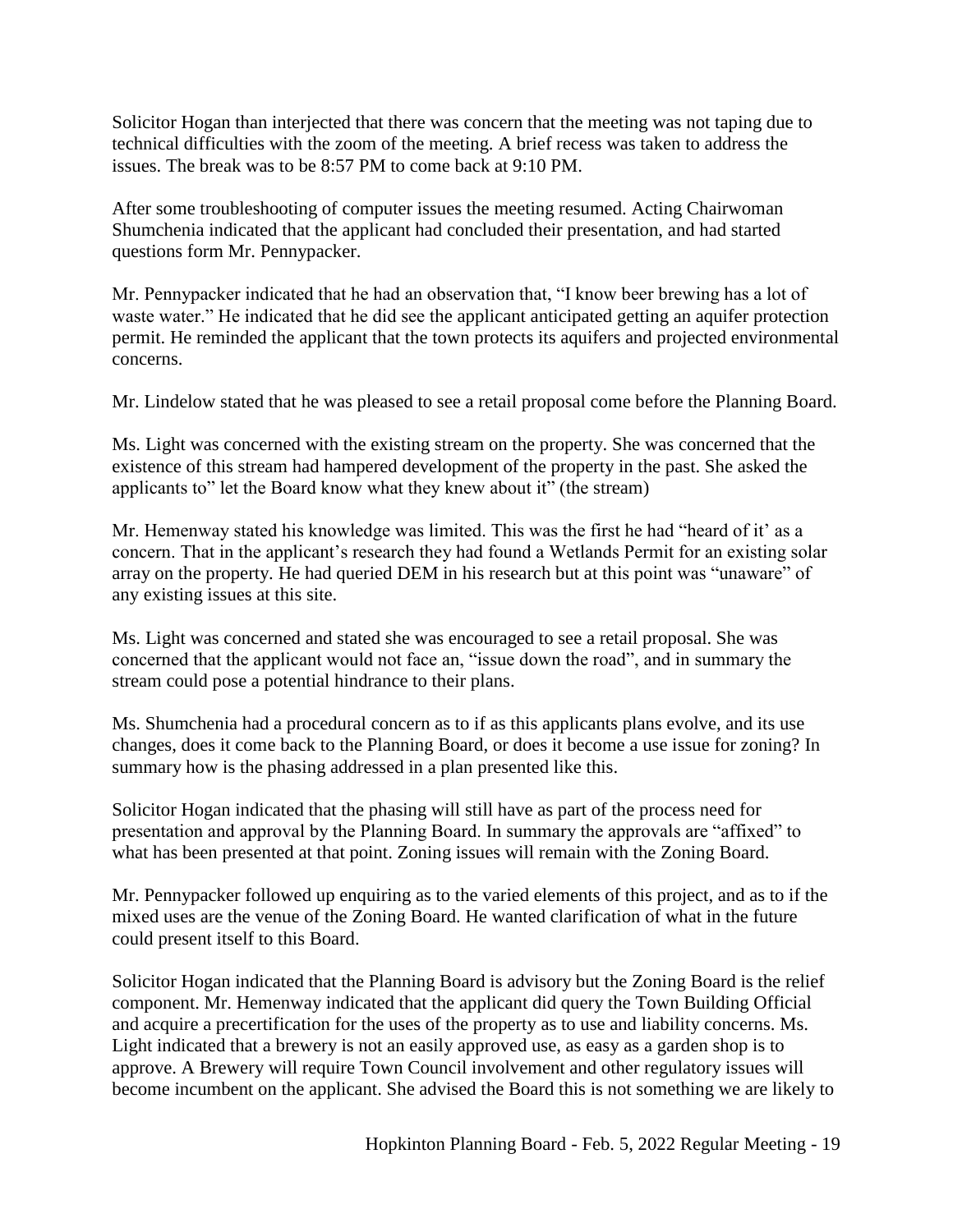Solicitor Hogan than interjected that there was concern that the meeting was not taping due to technical difficulties with the zoom of the meeting. A brief recess was taken to address the issues. The break was to be 8:57 PM to come back at 9:10 PM.

After some troubleshooting of computer issues the meeting resumed. Acting Chairwoman Shumchenia indicated that the applicant had concluded their presentation, and had started questions form Mr. Pennypacker.

Mr. Pennypacker indicated that he had an observation that, "I know beer brewing has a lot of waste water." He indicated that he did see the applicant anticipated getting an aquifer protection permit. He reminded the applicant that the town protects its aquifers and projected environmental concerns.

Mr. Lindelow stated that he was pleased to see a retail proposal come before the Planning Board.

Ms. Light was concerned with the existing stream on the property. She was concerned that the existence of this stream had hampered development of the property in the past. She asked the applicants to" let the Board know what they knew about it" (the stream)

Mr. Hemenway stated his knowledge was limited. This was the first he had "heard of it' as a concern. That in the applicant's research they had found a Wetlands Permit for an existing solar array on the property. He had queried DEM in his research but at this point was "unaware" of any existing issues at this site.

Ms. Light was concerned and stated she was encouraged to see a retail proposal. She was concerned that the applicant would not face an, "issue down the road", and in summary the stream could pose a potential hindrance to their plans.

Ms. Shumchenia had a procedural concern as to if as this applicants plans evolve, and its use changes, does it come back to the Planning Board, or does it become a use issue for zoning? In summary how is the phasing addressed in a plan presented like this.

Solicitor Hogan indicated that the phasing will still have as part of the process need for presentation and approval by the Planning Board. In summary the approvals are "affixed" to what has been presented at that point. Zoning issues will remain with the Zoning Board.

Mr. Pennypacker followed up enquiring as to the varied elements of this project, and as to if the mixed uses are the venue of the Zoning Board. He wanted clarification of what in the future could present itself to this Board.

Solicitor Hogan indicated that the Planning Board is advisory but the Zoning Board is the relief component. Mr. Hemenway indicated that the applicant did query the Town Building Official and acquire a precertification for the uses of the property as to use and liability concerns. Ms. Light indicated that a brewery is not an easily approved use, as easy as a garden shop is to approve. A Brewery will require Town Council involvement and other regulatory issues will become incumbent on the applicant. She advised the Board this is not something we are likely to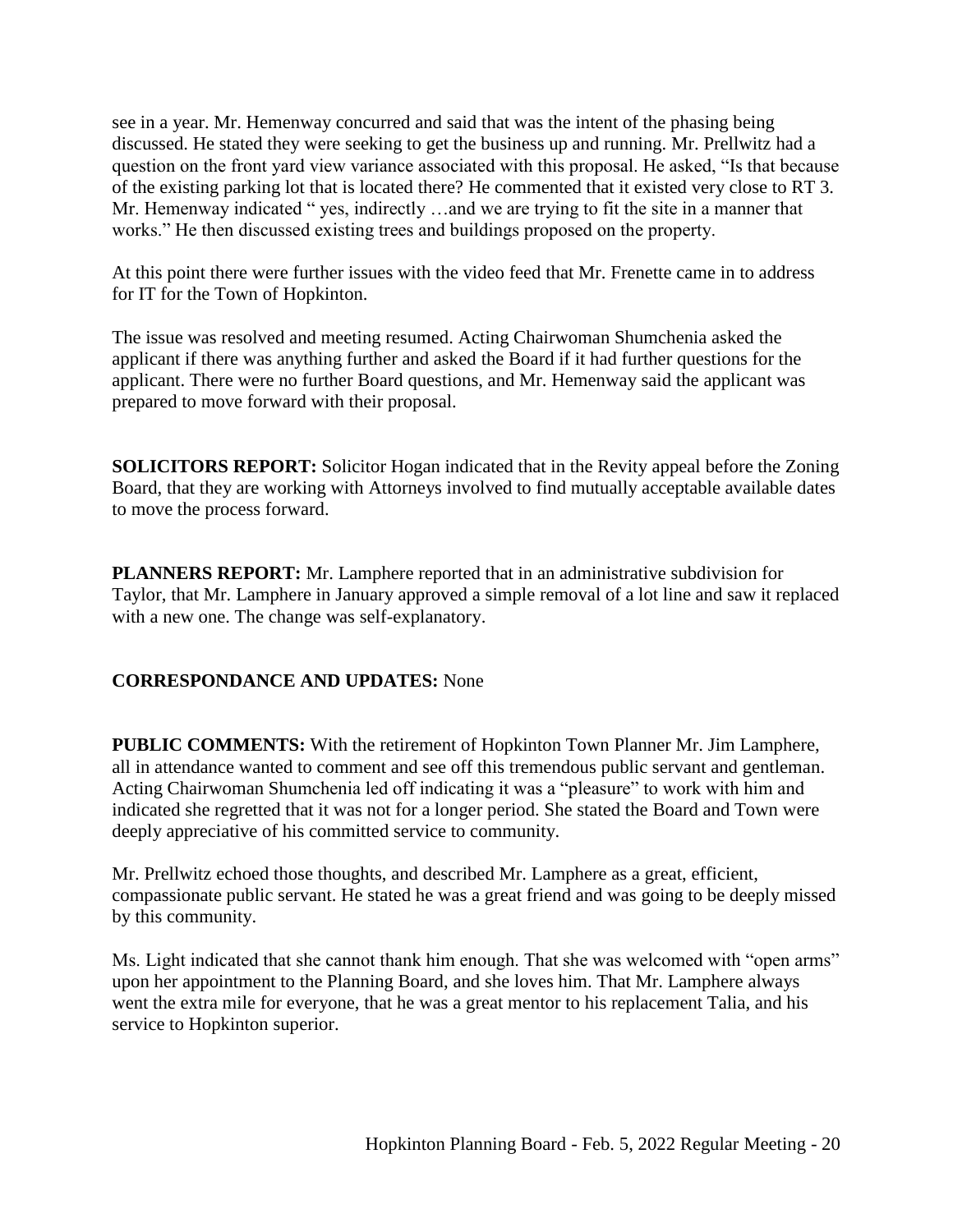see in a year. Mr. Hemenway concurred and said that was the intent of the phasing being discussed. He stated they were seeking to get the business up and running. Mr. Prellwitz had a question on the front yard view variance associated with this proposal. He asked, "Is that because of the existing parking lot that is located there? He commented that it existed very close to RT 3. Mr. Hemenway indicated " yes, indirectly ...and we are trying to fit the site in a manner that works." He then discussed existing trees and buildings proposed on the property.

At this point there were further issues with the video feed that Mr. Frenette came in to address for IT for the Town of Hopkinton.

The issue was resolved and meeting resumed. Acting Chairwoman Shumchenia asked the applicant if there was anything further and asked the Board if it had further questions for the applicant. There were no further Board questions, and Mr. Hemenway said the applicant was prepared to move forward with their proposal.

**SOLICITORS REPORT:** Solicitor Hogan indicated that in the Revity appeal before the Zoning Board, that they are working with Attorneys involved to find mutually acceptable available dates to move the process forward.

**PLANNERS REPORT:** Mr. Lamphere reported that in an administrative subdivision for Taylor, that Mr. Lamphere in January approved a simple removal of a lot line and saw it replaced with a new one. The change was self-explanatory.

# **CORRESPONDANCE AND UPDATES:** None

**PUBLIC COMMENTS:** With the retirement of Hopkinton Town Planner Mr. Jim Lamphere, all in attendance wanted to comment and see off this tremendous public servant and gentleman. Acting Chairwoman Shumchenia led off indicating it was a "pleasure" to work with him and indicated she regretted that it was not for a longer period. She stated the Board and Town were deeply appreciative of his committed service to community.

Mr. Prellwitz echoed those thoughts, and described Mr. Lamphere as a great, efficient, compassionate public servant. He stated he was a great friend and was going to be deeply missed by this community.

Ms. Light indicated that she cannot thank him enough. That she was welcomed with "open arms" upon her appointment to the Planning Board, and she loves him. That Mr. Lamphere always went the extra mile for everyone, that he was a great mentor to his replacement Talia, and his service to Hopkinton superior.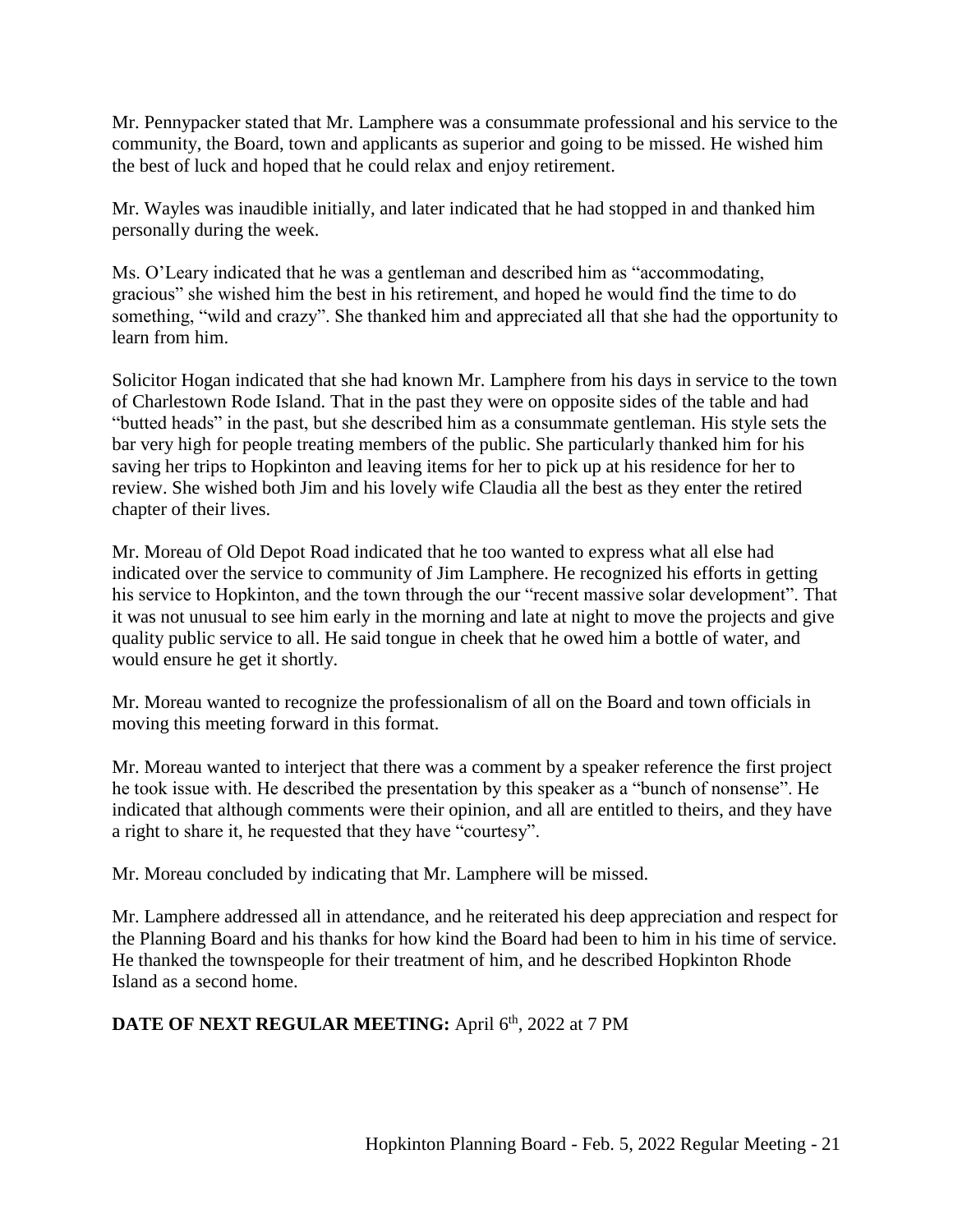Mr. Pennypacker stated that Mr. Lamphere was a consummate professional and his service to the community, the Board, town and applicants as superior and going to be missed. He wished him the best of luck and hoped that he could relax and enjoy retirement.

Mr. Wayles was inaudible initially, and later indicated that he had stopped in and thanked him personally during the week.

Ms. O'Leary indicated that he was a gentleman and described him as "accommodating, gracious" she wished him the best in his retirement, and hoped he would find the time to do something, "wild and crazy". She thanked him and appreciated all that she had the opportunity to learn from him.

Solicitor Hogan indicated that she had known Mr. Lamphere from his days in service to the town of Charlestown Rode Island. That in the past they were on opposite sides of the table and had "butted heads" in the past, but she described him as a consummate gentleman. His style sets the bar very high for people treating members of the public. She particularly thanked him for his saving her trips to Hopkinton and leaving items for her to pick up at his residence for her to review. She wished both Jim and his lovely wife Claudia all the best as they enter the retired chapter of their lives.

Mr. Moreau of Old Depot Road indicated that he too wanted to express what all else had indicated over the service to community of Jim Lamphere. He recognized his efforts in getting his service to Hopkinton, and the town through the our "recent massive solar development". That it was not unusual to see him early in the morning and late at night to move the projects and give quality public service to all. He said tongue in cheek that he owed him a bottle of water, and would ensure he get it shortly.

Mr. Moreau wanted to recognize the professionalism of all on the Board and town officials in moving this meeting forward in this format.

Mr. Moreau wanted to interject that there was a comment by a speaker reference the first project he took issue with. He described the presentation by this speaker as a "bunch of nonsense". He indicated that although comments were their opinion, and all are entitled to theirs, and they have a right to share it, he requested that they have "courtesy".

Mr. Moreau concluded by indicating that Mr. Lamphere will be missed.

Mr. Lamphere addressed all in attendance, and he reiterated his deep appreciation and respect for the Planning Board and his thanks for how kind the Board had been to him in his time of service. He thanked the townspeople for their treatment of him, and he described Hopkinton Rhode Island as a second home.

# **DATE OF NEXT REGULAR MEETING:** April 6<sup>th</sup>, 2022 at 7 PM